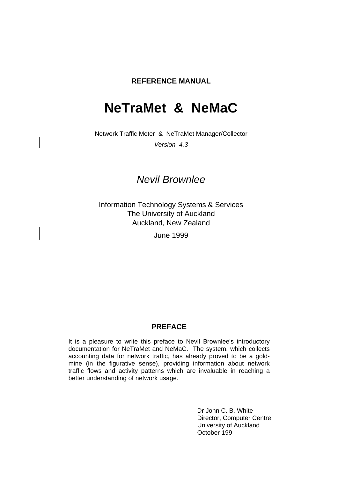### **REFERENCE MANUAL**

# **NeTraMet & NeMaC**

Network Traffic Meter & NeTraMet Manager/Collector

Version 4.3

## Nevil Brownlee

Information Technology Systems & Services The University of Auckland Auckland, New Zealand

June 1999

### **PREFACE**

It is a pleasure to write this preface to Nevil Brownlee's introductory documentation for NeTraMet and NeMaC. The system, which collects accounting data for network traffic, has already proved to be a goldmine (in the figurative sense), providing information about network traffic flows and activity patterns which are invaluable in reaching a better understanding of network usage.

> Dr John C. B. White Director, Computer Centre University of Auckland October 199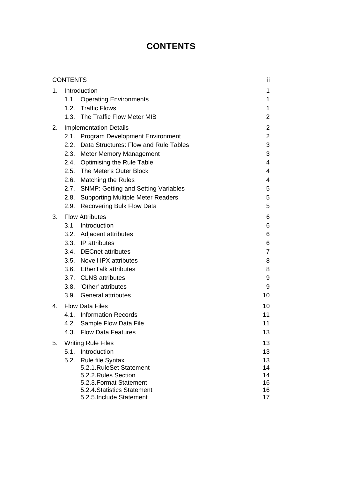## **CONTENTS**

|    | <b>CONTENTS</b> |                                                                                                                     | ii.                                                |
|----|-----------------|---------------------------------------------------------------------------------------------------------------------|----------------------------------------------------|
| 1. |                 | Introduction<br>1.1. Operating Environments<br>1.2. Traffic Flows<br>1.3. The Traffic Flow Meter MIB                | 1<br>1<br>1<br>$\overline{2}$                      |
| 2. |                 | <b>Implementation Details</b><br>2.1. Program Development Environment<br>2.2. Data Structures: Flow and Rule Tables | $\overline{2}$<br>$\overline{2}$<br>$\mathfrak{B}$ |
|    | 2.3.            | <b>Meter Memory Management</b>                                                                                      | 3                                                  |
|    |                 | 2.4. Optimising the Rule Table                                                                                      | 4                                                  |
|    |                 | 2.5. The Meter's Outer Block                                                                                        | 4                                                  |
|    | 2.6.            | <b>Matching the Rules</b>                                                                                           | 4                                                  |
|    |                 | 2.7. SNMP: Getting and Setting Variables                                                                            | 5                                                  |
|    |                 | 2.8. Supporting Multiple Meter Readers                                                                              | 5                                                  |
|    | 2.9.            | <b>Recovering Bulk Flow Data</b>                                                                                    | 5                                                  |
| 3. |                 | <b>Flow Attributes</b>                                                                                              | 6                                                  |
|    |                 | 3.1 Introduction                                                                                                    | 6                                                  |
|    |                 | 3.2. Adjacent attributes                                                                                            | 6                                                  |
|    |                 | 3.3. IP attributes                                                                                                  | 6                                                  |
|    |                 | 3.4. DECnet attributes                                                                                              | $\overline{7}$                                     |
|    |                 | 3.5. Novell IPX attributes                                                                                          | 8                                                  |
|    |                 | 3.6. EtherTalk attributes                                                                                           | 8                                                  |
|    |                 | 3.7. CLNS attributes                                                                                                | 9                                                  |
|    |                 | 3.8. 'Other' attributes                                                                                             | 9                                                  |
|    |                 | 3.9. General attributes                                                                                             | 10                                                 |
| 4. |                 | <b>Flow Data Files</b>                                                                                              | 10                                                 |
|    |                 | 4.1. Information Records                                                                                            | 11                                                 |
|    |                 | 4.2. Sample Flow Data File                                                                                          | 11                                                 |
|    |                 | 4.3. Flow Data Features                                                                                             | 13                                                 |
| 5. |                 | <b>Writing Rule Files</b>                                                                                           | 13                                                 |
|    |                 | 5.1. Introduction                                                                                                   | 13                                                 |
|    | 5.2.            | <b>Rule file Syntax</b>                                                                                             | 13                                                 |
|    |                 | 5.2.1. RuleSet Statement                                                                                            | 14                                                 |
|    |                 | 5.2.2. Rules Section<br>5.2.3. Format Statement                                                                     | 14<br>16                                           |
|    |                 | 5.2.4. Statistics Statement                                                                                         | 16                                                 |
|    |                 | 5.2.5. Include Statement                                                                                            | 17                                                 |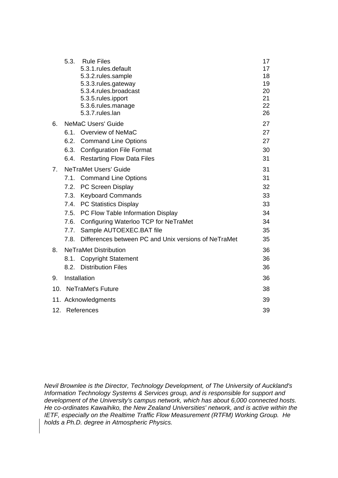|     | 5.3. | <b>Rule Files</b><br>5.3.1.rules.default<br>5.3.2.rules.sample<br>5.3.3.rules.gateway<br>5.3.4.rules.broadcast<br>5.3.5.rules.ipport<br>5.3.6.rules.manage<br>5.3.7.rules.lan | 17<br>17<br>18<br>19<br>20<br>21<br>22<br>26 |
|-----|------|-------------------------------------------------------------------------------------------------------------------------------------------------------------------------------|----------------------------------------------|
| 6.  |      | <b>NeMaC Users' Guide</b>                                                                                                                                                     | 27                                           |
|     |      | 6.1. Overview of NeMaC                                                                                                                                                        | 27                                           |
|     |      | 6.2. Command Line Options                                                                                                                                                     | 27                                           |
|     |      | 6.3. Configuration File Format                                                                                                                                                | 30                                           |
|     | 6.4. | <b>Restarting Flow Data Files</b>                                                                                                                                             | 31                                           |
| 7.  |      | <b>NeTraMet Users' Guide</b>                                                                                                                                                  | 31                                           |
|     |      | 7.1. Command Line Options                                                                                                                                                     | 31                                           |
|     |      | 7.2. PC Screen Display                                                                                                                                                        | 32                                           |
|     | 7.3. | <b>Keyboard Commands</b>                                                                                                                                                      | 33                                           |
|     |      | 7.4. PC Statistics Display                                                                                                                                                    | 33                                           |
|     |      | 7.5. PC Flow Table Information Display                                                                                                                                        | 34                                           |
|     |      | 7.6. Configuring Waterloo TCP for NeTraMet                                                                                                                                    | 34                                           |
|     | 7.7. | Sample AUTOEXEC.BAT file                                                                                                                                                      | 35                                           |
|     | 7.8. | Differences between PC and Unix versions of NeTraMet                                                                                                                          | 35                                           |
| 8.  |      | <b>NeTraMet Distribution</b>                                                                                                                                                  | 36                                           |
|     |      | 8.1. Copyright Statement                                                                                                                                                      | 36                                           |
|     |      | 8.2. Distribution Files                                                                                                                                                       | 36                                           |
| 9.  |      | Installation                                                                                                                                                                  | 36                                           |
| 10. |      | <b>NeTraMet's Future</b>                                                                                                                                                      | 38                                           |
|     |      | 11. Acknowledgments                                                                                                                                                           | 39                                           |
|     |      | 12. References                                                                                                                                                                | 39                                           |

Nevil Brownlee is the Director, Technology Development, of The University of Auckland's Information Technology Systems & Services group, and is responsible for support and development of the University's campus network, which has about 6,000 connected hosts. He co-ordinates Kawaihiko, the New Zealand Universities' network, and is active within the IETF, especially on the Realtime Traffic Flow Measurement (RTFM) Working Group. He holds a Ph.D. degree in Atmospheric Physics.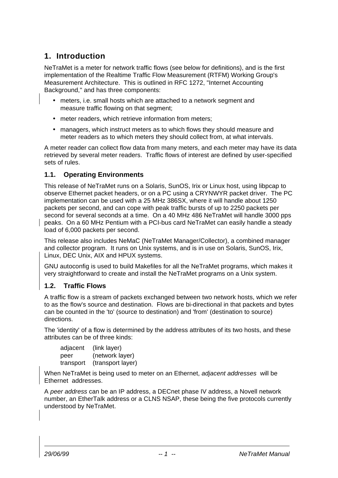## **1. Introduction**

NeTraMet is a meter for network traffic flows (see below for definitions), and is the first implementation of the Realtime Traffic Flow Measurement (RTFM) Working Group's Measurement Architecture. This is outlined in RFC 1272, "Internet Accounting Background," and has three components:

- meters, i.e. small hosts which are attached to a network segment and measure traffic flowing on that segment;
- meter readers, which retrieve information from meters;
- managers, which instruct meters as to which flows they should measure and meter readers as to which meters they should collect from, at what intervals.

A meter reader can collect flow data from many meters, and each meter may have its data retrieved by several meter readers. Traffic flows of interest are defined by user-specified sets of rules.

## **1.1. Operating Environments**

This release of NeTraMet runs on a Solaris, SunOS, Irix or Linux host, using libpcap to observe Ethernet packet headers, or on a PC using a CRYNWYR packet driver. The PC implementation can be used with a 25 MHz 386SX, where it will handle about 1250 packets per second, and can cope with peak traffic bursts of up to 2250 packets per second for several seconds at a time. On a 40 MHz 486 NeTraMet will handle 3000 pps peaks. On a 60 MHz Pentium with a PCI-bus card NeTraMet can easily handle a steady load of 6,000 packets per second.

This release also includes NeMaC (NeTraMet Manager/Collector), a combined manager and collector program. It runs on Unix systems, and is in use on Solaris, SunOS, Irix, Linux, DEC Unix, AIX and HPUX systems.

GNU autoconfig is used to build Makefiles for all the NeTraMet programs, which makes it very straightforward to create and install the NeTraMet programs on a Unix system.

## **1.2. Traffic Flows**

A traffic flow is a stream of packets exchanged between two network hosts, which we refer to as the flow's source and destination. Flows are bi-directional in that packets and bytes can be counted in the 'to' (source to destination) and 'from' (destination to source) directions.

The 'identity' of a flow is determined by the address attributes of its two hosts, and these attributes can be of three kinds:

| adjacent  | (link layer)      |
|-----------|-------------------|
| peer      | (network layer)   |
| transport | (transport layer) |

When NeTraMet is being used to meter on an Ethernet, adjacent addresses will be Ethernet addresses.

A peer address can be an IP address, a DECnet phase IV address, a Novell network number, an EtherTalk address or a CLNS NSAP, these being the five protocols currently understood by NeTraMet.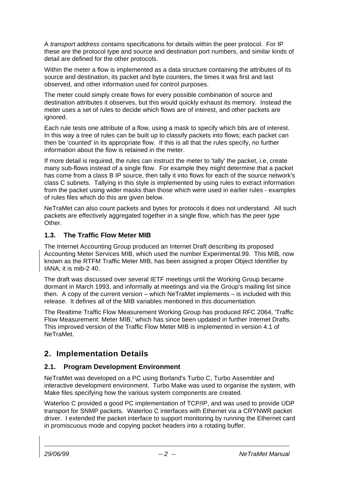A transport address contains specifications for details within the peer protocol. For IP these are the protocol type and source and destination port numbers, and similar kinds of detail are defined for the other protocols.

Within the meter a flow is implemented as a data structure containing the attributes of its source and destination, its packet and byte counters, the times it was first and last observed, and other information used for control purposes.

The meter could simply create flows for every possible combination of source and destination attributes it observes, but this would quickly exhaust its memory. Instead the meter uses a set of rules to decide which flows are of interest, and other packets are ignored.

Each rule tests one attribute of a flow, using a mask to specify which bits are of interest. In this way a tree of rules can be built up to classify packets into flows; each packet can then be 'counted' in its appropriate flow. If this is all that the rules specify, no further information about the flow is retained in the meter.

If more detail is required, the rules can instruct the meter to 'tally' the packet, i.e, create many sub-flows instead of a single flow. For example they might determine that a packet has come from a class B IP source, then tally it into flows for each of the source network's class C subnets. Tallying in this style is implemented by using rules to extract information from the packet using wider masks than those which were used in earlier rules - examples of rules files which do this are given below.

NeTraMet can also count packets and bytes for protocols it does not understand. All such packets are effectively aggregated together in a single flow, which has the peer type Other.

## **1.3. The Traffic Flow Meter MIB**

The Internet Accounting Group produced an Internet Draft describing its proposed Accounting Meter Services MIB, which used the number Experimental.99. This MIB, now known as the RTFM Traffic Meter MIB, has been assigned a proper Object Identifier by IANA; it is mib-2 40.

The draft was discussed over several IETF meetings until the Working Group became dormant in March 1993, and informally at meetings and via the Group's mailing list since then. A copy of the current version – which NeTraMet implements – is included with this release. It defines all of the MIB variables mentioned in this documentation.

The Realtime Traffic Flow Measurement Working Group has produced RFC 2064, 'Traffic Flow Measurement: Meter MIB,' which has since been updated in further Internet Drafts. This improved version of the Traffic Flow Meter MIB is implemented in version 4.1 of NeTraMet.

## **2. Implementation Details**

## **2.1. Program Development Environment**

NeTraMet was developed on a PC using Borland's Turbo C, Turbo Assembler and interactive development environment. Turbo Make was used to organise the system, with Make files specifying how the various system components are created.

Waterloo C provided a good PC implementation of TCP/IP, and was used to provide UDP transport for SNMP packets. Waterloo C interfaces with Ethernet via a CRYNWR packet driver. I extended the packet interface to support monitoring by running the Ethernet card in promiscuous mode and copying packet headers into a rotating buffer.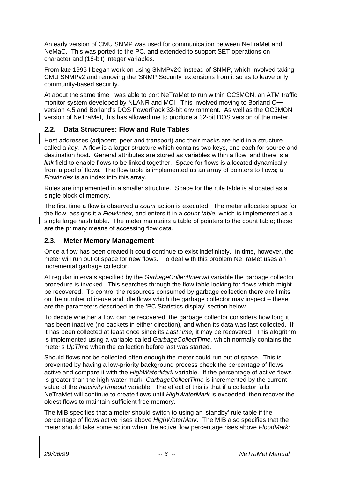An early version of CMU SNMP was used for communication between NeTraMet and NeMaC. This was ported to the PC, and extended to support SET operations on character and (16-bit) integer variables.

From late 1995 I began work on using SNMPv2C instead of SNMP, which involved taking CMU SNMPv2 and removing the 'SNMP Security' extensions from it so as to leave only community-based security.

At about the same time I was able to port NeTraMet to run within OC3MON, an ATM traffic monitor system developed by NLANR and MCI. This involved moving to Borland C++ version 4.5 and Borland's DOS PowerPack 32-bit environment. As well as the OC3MON version of NeTraMet, this has allowed me to produce a 32-bit DOS version of the meter.

## **2.2. Data Structures: Flow and Rule Tables**

Host addresses (adjacent, peer and transport) and their masks are held in a structure called a key. A flow is a larger structure which contains two keys, one each for source and destination host. General attributes are stored as variables within a flow, and there is a link field to enable flows to be linked together. Space for flows is allocated dynamically from a pool of flows. The flow table is implemented as an array of pointers to flows; a FlowIndex is an index into this array.

Rules are implemented in a smaller structure. Space for the rule table is allocated as a single block of memory.

The first time a flow is observed a *count* action is executed. The meter allocates space for the flow, assigns it a FlowIndex, and enters it in a count table, which is implemented as a single large hash table. The meter maintains a table of pointers to the count table; these are the primary means of accessing flow data.

## **2.3. Meter Memory Management**

Once a flow has been created it could continue to exist indefinitely. In time, however, the meter will run out of space for new flows. To deal with this problem NeTraMet uses an incremental garbage collector.

At regular intervals specified by the GarbageCollectInterval variable the garbage collector procedure is invoked. This searches through the flow table looking for flows which might be recovered. To control the resources consumed by garbage collection there are limits on the number of in-use and idle flows which the garbage collector may inspect – these are the parameters described in the 'PC Statistics display' section below.

To decide whether a flow can be recovered, the garbage collector considers how long it has been inactive (no packets in either direction), and when its data was last collected. If it has been collected at least once since its LastTime, it may be recovered. This alogrithm is implemented using a variable called GarbageCollectTime, which normally contains the meter's UpTime when the collection before last was started.

Should flows not be collected often enough the meter could run out of space. This is prevented by having a low-priority background process check the percentage of flows active and compare it with the HighWaterMark variable. If the percentage of active flows is greater than the high-water mark, GarbageCollectTime is incremented by the current value of the *InactivityTimeout* variable. The effect of this is that if a collector fails NeTraMet will continue to create flows until HighWaterMark is exceeded, then recover the oldest flows to maintain sufficient free memory.

The MIB specifies that a meter should switch to using an 'standby' rule table if the percentage of flows active rises above HighWaterMark. The MIB also specifies that the meter should take some action when the active flow percentage rises above FloodMark;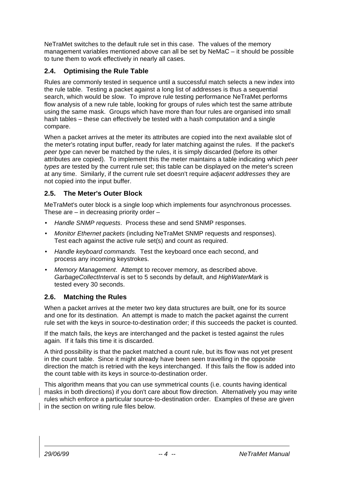NeTraMet switches to the default rule set in this case. The values of the memory management variables mentioned above can all be set by NeMaC – it should be possible to tune them to work effectively in nearly all cases.

## **2.4. Optimising the Rule Table**

Rules are commonly tested in sequence until a successful match selects a new index into the rule table. Testing a packet against a long list of addresses is thus a sequential search, which would be slow. To improve rule testing performance NeTraMet performs flow analysis of a new rule table, looking for groups of rules which test the same attribute using the same mask. Groups which have more than four rules are organised into small hash tables – these can effectively be tested with a hash computation and a single compare.

When a packet arrives at the meter its attributes are copied into the next available slot of the meter's rotating input buffer, ready for later matching against the rules. If the packet's peer type can never be matched by the rules, it is simply discarded (before its other attributes are copied). To implement this the meter maintains a table indicating which peer types are tested by the current rule set; this table can be displayed on the meter's screen at any time. Similarly, if the current rule set doesn't require adjacent addresses they are not copied into the input buffer.

## **2.5. The Meter's Outer Block**

MeTraMet's outer block is a single loop which implements four asynchronous processes. These are – in decreasing priority order –

- Handle SNMP requests. Process these and send SNMP responses.
- Monitor Ethernet packets (including NeTraMet SNMP requests and responses). Test each against the active rule set(s) and count as required.
- Handle keyboard commands. Test the keyboard once each second, and process any incoming keystrokes.
- Memory Management. Attempt to recover memory, as described above. GarbageCollectInterval is set to 5 seconds by default, and HighWaterMark is tested every 30 seconds.

#### **2.6. Matching the Rules**

When a packet arrives at the meter two key data structures are built, one for its source and one for its destination. An attempt is made to match the packet against the current rule set with the keys in source-to-destination order; if this succeeds the packet is counted.

If the match fails, the keys are interchanged and the packet is tested against the rules again. If it fails this time it is discarded.

A third possibility is that the packet matched a count rule, but its flow was not yet present in the count table. Since it might already have been seen travelling in the opposite direction the match is retried with the keys interchanged. If this fails the flow is added into the count table with its keys in source-to-destination order.

This algorithm means that you can use symmetrical counts (i.e. counts having identical masks in both directions) if you don't care about flow direction. Alternatively you may write rules which enforce a particular source-to-destination order. Examples of these are given in the section on writing rule files below.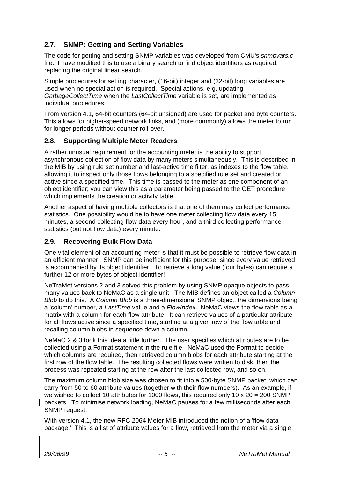## **2.7. SNMP: Getting and Setting Variables**

The code for getting and setting SNMP variables was developed from CMU's snmpvars.c file. I have modified this to use a binary search to find object identifiers as required, replacing the original linear search.

Simple procedures for setting character, (16-bit) integer and (32-bit) long variables are used when no special action is required. Special actions, e.g. updating GarbageCollectTime when the LastCollectTime variable is set, are implemented as individual procedures.

From version 4.1, 64-bit counters (64-bit unsigned) are used for packet and byte counters. This allows for higher-speed network links, and (more commonly) allows the meter to run for longer periods without counter roll-over.

## **2.8. Supporting Multiple Meter Readers**

A rather unusual requirement for the accounting meter is the ability to support asynchronous collection of flow data by many meters simultaneously. This is described in the MIB by using rule set number and last-active time filter, as indexes to the flow table, allowing it to inspect only those flows belonging to a specified rule set and created or active since a specified time. This time is passed to the meter as one component of an object identifier; you can view this as a parameter being passed to the GET procedure which implements the creation or activity table.

Another aspect of having multiple collectors is that one of them may collect performance statistics. One possibility would be to have one meter collecting flow data every 15 minutes, a second collecting flow data every hour, and a third collecting performance statistics (but not flow data) every minute.

## **2.9. Recovering Bulk Flow Data**

One vital element of an accounting meter is that it must be possible to retrieve flow data in an efficient manner. SNMP can be inefficient for this purpose, since every value retrieved is accompanied by its object identifier. To retrieve a long value (four bytes) can require a further 12 or more bytes of object identifier!

NeTraMet versions 2 and 3 solved this problem by using SNMP opaque objects to pass many values back to NeMaC as a single unit. The MIB defines an object called a Column Blob to do this. A Column Blob is a three-dimensional SNMP object, the dimensions being a 'column' number, a LastTime value and a FlowIndex. NeMaC views the flow table as a matrix with a column for each flow attribute. It can retrieve values of a particular attribute for all flows active since a specified time, starting at a given row of the flow table and recalling column blobs in sequence down a column.

NeMaC 2 & 3 took this idea a little further. The user specifies which attributes are to be collected using a Format statement in the rule file. NeMaC used the Format to decide which columns are required, then retrieved column blobs for each attribute starting at the first row of the flow table. The resulting collected flows were written to disk, then the process was repeated starting at the row after the last collected row, and so on.

The maximum column blob size was chosen to fit into a 500-byte SNMP packet, which can carry from 50 to 60 attribute values (together with their flow numbers). As an example, if we wished to collect 10 attributes for 1000 flows, this required only 10  $\times$  20 = 200 SNMP packets. To minimise network loading, NeMaC pauses for a few milliseconds after each SNMP request.

With version 4.1, the new RFC 2064 Meter MIB introduced the notion of a 'flow data package.' This is a list of attribute values for a flow, retrieved from the meter via a single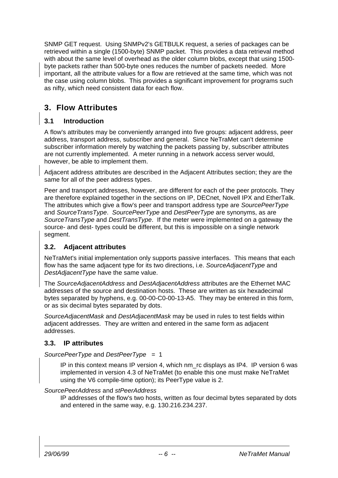SNMP GET request. Using SNMPv2's GETBULK request, a series of packages can be retrieved within a single (1500-byte) SNMP packet. This provides a data retrieval method with about the same level of overhead as the older column blobs, except that using 1500 byte packets rather than 500-byte ones reduces the number of packets needed. More important, all the attribute values for a flow are retrieved at the same time, which was not the case using column blobs. This provides a significant improvement for programs such as nifty, which need consistent data for each flow.

## **3. Flow Attributes**

## **3.1 Introduction**

A flow's attributes may be conveniently arranged into five groups: adjacent address, peer address, transport address, subscriber and general. Since NeTraMet can't determine subscriber information merely by watching the packets passing by, subscriber attributes are not currently implemented. A meter running in a network access server would, however, be able to implement them.

Adjacent address attributes are described in the Adjacent Attributes section; they are the same for all of the peer address types.

Peer and transport addresses, however, are different for each of the peer protocols. They are therefore explained together in the sections on IP, DECnet, Novell IPX and EtherTalk. The attributes which give a flow's peer and transport address type are SourcePeerType and SourceTransType. SourcePeerType and DestPeerType are synonyms, as are SourceTransType and DestTransType. If the meter were implemented on a gateway the source- and dest- types could be different, but this is impossible on a single network segment.

## **3.2. Adjacent attributes**

NeTraMet's initial implementation only supports passive interfaces. This means that each flow has the same adjacent type for its two directions, i.e. SourceAdjacentType and DestAdjacentType have the same value.

The SourceAdjacentAddress and DestAdjacentAddress attributes are the Ethernet MAC addresses of the source and destination hosts. These are written as six hexadecimal bytes separated by hyphens, e.g. 00-00-C0-00-13-A5. They may be entered in this form, or as six decimal bytes separated by dots.

SourceAdjacentMask and DestAdjacentMask may be used in rules to test fields within adjacent addresses. They are written and entered in the same form as adjacent addresses.

## **3.3. IP attributes**

#### SourcePeerType and DestPeerType = 1

IP in this context means IP version 4, which nm\_rc displays as IP4. IP version 6 was implemented in version 4.3 of NeTraMet (to enable this one must make NeTraMet using the V6 compile-time option); its PeerType value is 2.

SourcePeerAddress and stPeerAddress

IP addresses of the flow's two hosts, written as four decimal bytes separated by dots and entered in the same way, e.g. 130.216.234.237.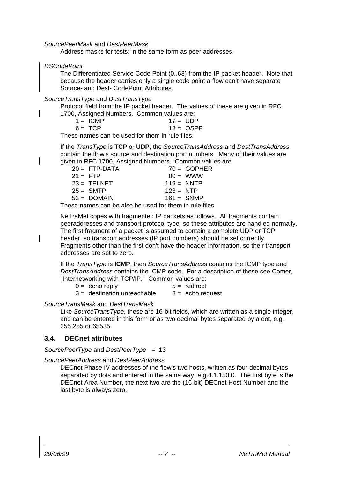#### SourcePeerMask and DestPeerMask

Address masks for tests; in the same form as peer addresses.

DSCodePoint

The Differentiated Service Code Point (0..63) from the IP packet header. Note that because the header carries only a single code point a flow can't have separate Source- and Dest- CodePoint Attributes.

SourceTransType and DestTransType

Protocol field from the IP packet header. The values of these are given in RFC 1700, Assigned Numbers. Common values are:

| 1 = ICMP | $17 = UDP$ |             |
|----------|------------|-------------|
| 6= TCP   |            | $18 =$ OSPF |

These names can be used for them in rule files.

If the TransType is **TCP** or **UDP**, the SourceTransAddress and DestTransAddress contain the flow's source and destination port numbers. Many of their values are given in RFC 1700, Assigned Numbers. Common values are

| $20 = FTP-DATA$ |              | $70 = GOPHER$ |
|-----------------|--------------|---------------|
| $21 = FTP$      | $80 = WWW$   |               |
| $23 = TELNET$   | $119 = NNTP$ |               |
| $25 = SMTP$     | $123 = NTP$  |               |
| $53 = DOMAIN$   | $161 =$ SNMP |               |
|                 |              |               |

These names can be also be used for them in rule files

NeTraMet copes with fragmented IP packets as follows. All fragments contain peeraddresses and transport protocol type, so these attributes are handled normally. The first fragment of a packet is assumed to contain a complete UDP or TCP header, so transport addresses (IP port numbers) should be set correctly. Fragments other than the first don't have the header information, so their transport addresses are set to zero.

If the TransType is **ICMP**, then SourceTransAddress contains the ICMP type and DestTransAddress contains the ICMP code. For a description of these see Comer, "Internetworking with TCP/IP." Common values are:

 $0 =$  echo reply  $5 =$  redirect

SourceTransMask and DestTransMask

Like SourceTransType, these are 16-bit fields, which are written as a single integer, and can be entered in this form or as two decimal bytes separated by a dot, e.g. 255.255 or 65535.

#### **3.4. DECnet attributes**

SourcePeerType and DestPeerType =  $13$ 

SourcePeerAddress and DestPeerAddress

DECnet Phase IV addresses of the flow's two hosts, written as four decimal bytes separated by dots and entered in the same way, e.g.4.1.150.0. The first byte is the DECnet Area Number, the next two are the (16-bit) DECnet Host Number and the last byte is always zero.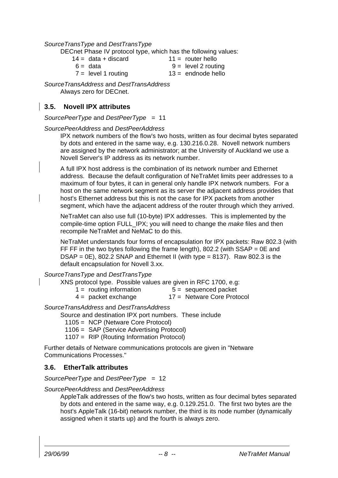#### SourceTransType and DestTransType

DECnet Phase IV protocol type, which has the following values:

- $14 =$  data + discard  $11 =$  router hello
	-
	-
	- $6 =$  data  $9 =$  level 2 routing
	- $7 =$  level 1 routing  $13 =$  endnode hello
		-

SourceTransAddress and DestTransAddress Always zero for DECnet.

## **3.5. Novell IPX attributes**

SourcePeerType and DestPeerType = 11

#### SourcePeerAddress and DestPeerAddress

IPX network numbers of the flow's two hosts, written as four decimal bytes separated by dots and entered in the same way, e.g. 130.216.0.28. Novell network numbers are assigned by the network administrator; at the University of Auckland we use a Novell Server's IP address as its network number.

A full IPX host address is the combination of its network number and Ethernet address. Because the default configuration of NeTraMet limits peer addresses to a maximum of four bytes, it can in general only handle IPX network numbers. For a host on the same network segment as its server the adjacent address provides that host's Ethernet address but this is not the case for IPX packets from another segment, which have the adjacent address of the router through which they arrived.

NeTraMet can also use full (10-byte) IPX addresses. This is implemented by the compile-time option FULL\_IPX; you will need to change the make files and then recompile NeTraMet and NeMaC to do this.

NeTraMet understands four forms of encapsulation for IPX packets: Raw 802.3 (with FF FF in the two bytes following the frame length), 802.2 (with  $SSAP = 0E$  and  $DSAP = 0E$ , 802.2 SNAP and Ethernet II (with type = 8137). Raw 802.3 is the default encapsulation for Novell 3.xx.

#### SourceTransType and DestTransType

XNS protocol type. Possible values are given in RFC 1700, e.g:

- $1 =$  routing information  $5 =$  sequenced packet
- $4 =$  packet exchange  $17 =$  Netware Core Protocol

SourceTransAddress and DestTransAddress

Source and destination IPX port numbers. These include

- 1105 = NCP (Netware Core Protocol)
- 1106 = SAP (Service Advertising Protocol)
- 1107 = RIP (Routing Information Protocol)

Further details of Netware communications protocols are given in "Netware Communications Processes."

#### **3.6. EtherTalk attributes**

SourcePeerType and DestPeerType = 12

SourcePeerAddress and DestPeerAddress

AppleTalk addresses of the flow's two hosts, written as four decimal bytes separated by dots and entered in the same way, e.g. 0.129.251.0. The first two bytes are the host's AppleTalk (16-bit) network number, the third is its node number (dynamically assigned when it starts up) and the fourth is always zero.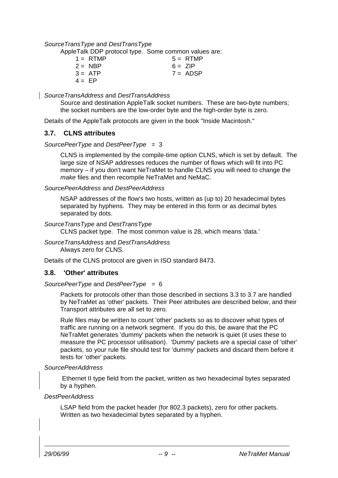#### SourceTransType and DestTransType

AppleTalk DDP protocol type. Some common values are:

|          | $1 = RTMP$       | $5 = RTMP$ |
|----------|------------------|------------|
|          | $2 = \text{NBP}$ | $6 = ZIP$  |
|          | $3 = ATP$        | $7 = ADSP$ |
| $4 = EP$ |                  |            |

SourceTransAddress and DestTransAddress

Source and destination AppleTalk socket numbers. These are two-byte numbers; the socket numbers are the low-order byte and the high-order byte is zero.

Details of the AppleTalk protocols are given in the book "Inside Macintosh."

#### **3.7. CLNS attributes**

SourcePeerType and DestPeerType  $= 3$ 

CLNS is implemented by the compile-time option CLNS, which is set by default. The large size of NSAP addresses reduces the number of flows which will fit into PC memory – if you don't want NeTraMet to handle CLNS you will need to change the make files and then recompile NeTraMet and NeMaC.

SourcePeerAddress and DestPeerAddress

NSAP addresses of the flow's two hosts, written as (up to) 20 hexadecimal bytes separated by hyphens. They may be entered in this form or as decimal bytes separated by dots.

SourceTransType and DestTransType

CLNS packet type. The most common value is 28, which means 'data.'

SourceTransAddress and DestTransAddress Always zero for CLNS.

Details of the CLNS protocol are given in ISO standard 8473.

#### **3.8. 'Other' attributes**

SourcePeerType and DestPeerType = 6

Packets for protocols other than those described in sections 3.3 to 3.7 are handled by NeTraMet as 'other' packets. Their Peer attributes are described below, and their Transport attributes are all set to zero.

Rule files may be written to count 'other' packets so as to discover what types of traffic are running on a network segment. If you do this, be aware that the PC NeTraMet generates 'dummy' packets when the network is quiet (it uses these to measure the PC processor utilisation). 'Dummy' packets are a special case of 'other' packets, so your rule file should test for 'dummy' packets and discard them before it tests for 'other' packets.

#### SourcePeerAddrress

Ethernet II type field from the packet, written as two hexadecimal bytes separated by a hyphen.

#### DestPeerAddress

LSAP field from the packet header (for 802.3 packets), zero for other packets. Written as two hexadecimal bytes separated by a hyphen.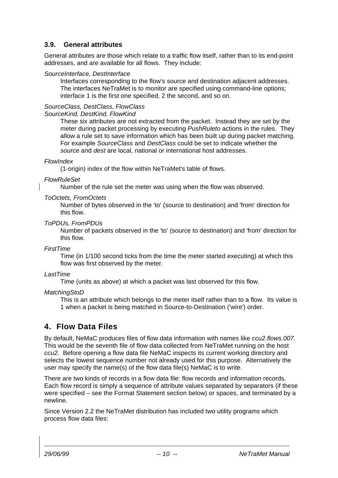### **3.9. General attributes**

General attributes are those which relate to a traffic flow itself, rather than to its end-point addresses, and are available for all flows. They include:

#### SourceInterface, DestInterface

Interfaces corresponding to the flow's source and destination adjacent addresses. The interfaces NeTraMet is to monitor are specified using command-line options; interface 1 is the first one specified, 2 the second, and so on.

#### SourceClass, DestClass, FlowClass

#### SourceKind, DestKind, FlowKind

These six attributes are not extracted from the packet. Instead they are set by the meter during packet processing by executing *PushRuleto* actions in the rules. They allow a rule set to save information which has been built up during packet matching. For example SourceClass and DestClass could be set to indicate whether the source and dest are local, national or international host addresses.

#### **FlowIndex**

(1-origin) index of the flow within NeTraMet's table of flows.

#### **FlowRuleSet**

Number of the rule set the meter was using when the flow was observed.

#### ToOctets, FromOctets

Number of bytes observed in the 'to' (source to destination) and 'from' direction for this flow.

#### ToPDUs, FromPDUs

Number of packets observed in the 'to' (source to destination) and 'from' direction for this flow.

#### FirstTime

Time (in 1/100 second ticks from the time the meter started executing) at which this flow was first observed by the meter.

#### LastTime

Time (units as above) at which a packet was last observed for this flow.

#### **MatchingStoD**

This is an attribute which belongs to the meter itself rather than to a flow. Its value is 1 when a packet is being matched in Source-to-Destination ('wire') order.

## **4. Flow Data Files**

By default, NeMaC produces files of flow data information with names like ccu2.flows.007. This would be the seventh file of flow data collected from NeTraMet running on the host ccu2. Before opening a flow data file NeMaC inspects its current working directory and selects the lowest sequence number not already used for this purpose. Alternatively the user may specify the name(s) of the flow data file(s) NeMaC is to write.

There are two kinds of records in a flow data file: flow records and information records. Each flow record is simply a sequence of attribute values separated by separators (if these were specified – see the Format Statement section below) or spaces, and terminated by a newline.

Since Version 2.2 the NeTraMet distribution has included two utility programs which process flow data files: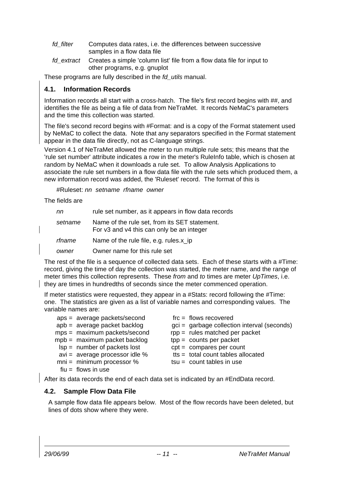- fd\_filter Computes data rates, i.e. the differences between successive samples in a flow data file
- fd extract Creates a simple 'column list' file from a flow data file for input to other programs, e.g. gnuplot

These programs are fully described in the fd\_utils manual.

### **4.1. Information Records**

Information records all start with a cross-hatch. The file's first record begins with ##, and identifies the file as being a file of data from NeTraMet. It records NeMaC's parameters and the time this collection was started.

The file's second record begins with #Format: and is a copy of the Format statement used by NeMaC to collect the data. Note that any separators specified in the Format statement appear in the data file directly, not as C-language strings.

Version 4.1 of NeTraMet allowed the meter to run multiple rule sets; this means that the 'rule set number' attribute indicates a row in the meter's RuleInfo table, which is chosen at random by NeMaC when it downloads a rule set. To allow Analysis Applications to associate the rule set numbers in a flow data file with the rule sets which produced them, a new information record was added, the 'Ruleset' record. The format of this is

#Ruleset: nn setname rfname owner

The fields are

| nn      | rule set number, as it appears in flow data records                                        |
|---------|--------------------------------------------------------------------------------------------|
| setname | Name of the rule set, from its SET statement.<br>For v3 and v4 this can only be an integer |
| rfname  | Name of the rule file, e.g. rules.x_ip                                                     |
| owner   | Owner name for this rule set                                                               |

The rest of the file is a sequence of collected data sets. Each of these starts with a #Time: record, giving the time of day the collection was started, the meter name, and the range of meter times this collection represents. These from and to times are meter UpTimes, i.e. they are times in hundredths of seconds since the meter commenced operation.

If meter statistics were requested, they appear in a #Stats: record following the #Time: one. The statistics are given as a list of variable names and corresponding values. The variable names are:

| aps = average packets/second<br>apb = average packet backlog<br>mps = maximum packets/second<br>mpb = maximum packet backlog<br>$lsp =$ number of packets lost<br>$avi = average processor idle %$<br>$mni = minimum processor %$ | $\text{frc} = \text{flows recovered}$<br>gci = garbage collection interval (seconds)<br>$rpp =$ rules matched per packet<br>$tpp =$ counts per packet<br>$cpt =$ compares per count<br>$t$ ts = total count tables allocated<br>$tsu = count tables in use$ |
|-----------------------------------------------------------------------------------------------------------------------------------------------------------------------------------------------------------------------------------|-------------------------------------------------------------------------------------------------------------------------------------------------------------------------------------------------------------------------------------------------------------|
|                                                                                                                                                                                                                                   |                                                                                                                                                                                                                                                             |
| $fiu = flows in use$                                                                                                                                                                                                              |                                                                                                                                                                                                                                                             |

After its data records the end of each data set is indicated by an #EndData record.

#### **4.2. Sample Flow Data File**

A sample flow data file appears below. Most of the flow records have been deleted, but lines of dots show where they were.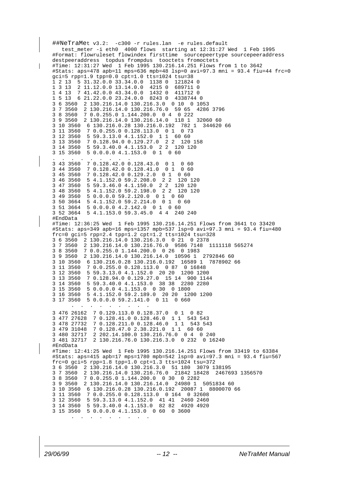```
##NeTraMet v3.2: -c300 -r rules.lan -e rules.default
  test meter -i eth0 4000 flows starting at 12:31:27 Wed 1 Feb 1995
#Format: flowruleset flowindex firsttime sourcepeertype sourcepeeraddress
destpeeraddress topdus frompdus tooctets fromoctets
#Time: 12:31:27 Wed 1 Feb 1995 130.216.14.251 Flows from 1 to 3642
#Stats: aps=478 apb=11 mps=636 mpb=48 lsp=0 avi=97.3 mni = 93.4 fiu=44 frc=0
gci=5 rpp=1.9 tpp=0.0 cpt=1.0 tts=1024 tsu=38
1 2 13 5 31.32.0.0 33.34.0.0 1138 0 121824 0
1 3 13 2 11.12.0.0 13.14.0.0 4215 0 689711 0
1 4 13 7 41.42.0.0 43.34.0.0 1432 0 411712 0
1 5 13 6 21.22.0.0 23.24.0.0 8243 0 4338744 0
3 6 3560 2 130.216.14.0 130.216.3.0 0 10 0 1053
3 7 3560 2 130.216.14.0 130.216.76.0 59 65 4286 3796
3 8 3560 7 0.0.255.0 1.144.200.0 0 4 0 222
         3 9 3560 2 130.216.14.0 130.216.14.0 118 1 32060 60
3 10 3560 6 130.216.0.28 130.216.0.192 782 1 344620 66
3 11 3560 7 0.0.255.0 0.128.113.0 0 1 0 73
3 12 3560 5 59.3.13.0 4.1.152.0 1 1 60 60
          3 13 3560 7 0.128.94.0 0.129.27.0 2 2 120 158
3 14 3560 5 59.3.40.0 4.1.153.0 2 2 120 120
          5 0.0.0.0 4.1.153.0 0 1. . . . . . . . .
3 43 3560 7 0.128.42.0 0.128.43.0 0 1 0 60
3 44 3560 7 0.128.42.0 0.128.41.0 0 1 0 60
3 45 3560 7 0.128.42.0 0.129.2.0 0 1 0 60
          5 4.1.152.0 59.2.208.0 2 2 120 120
3 47 3560 5 59.3.46.0 4.1.150.0 2 2 120 120
3 48 3560 5 4.1.152.0 59.2.198.0 2 2 120 120
3 49 3560 5 0.0.0.0 59.2.120.0 0 1 0 60
3 50 3664 5 4.1.152.0 59.2.214.0 0 1 0 60
3 51 3664 5 0.0.0.0 4.2.142.0 0 1 0 60
          3 52 3664 5 4.1.153.0 59.3.45.0 4 4 240 240
#EndData
#Time: 12:36:25 Wed 1 Feb 1995 130.216.14.251 Flows from 3641 to 33420
#Stats: aps=349 apb=16 mps=1357 mpb=537 lsp=0 avi=97.3 mni = 93.4 fiu=480
frc=0 gci=5 rpp=2.4 tpp=1.2 cpt=1.2 tts=1024 tsu=328
3 6 3560 2 130.216.14.0 130.216.3.0 0 21 0 2378
3 7 3560 2 130.216.14.0 130.216.76.0 9586 7148 1111118 565274
3 8 3560 7 0.0.255.0 1.144.200.0 0 26 0 1983
         3 9 3560 2 130.216.14.0 130.216.14.0 10596 1 2792846 60
3 10 3560 6 130.216.0.28 130.216.0.192 16589 1 7878902 66
          3 11 3560 7 0.0.255.0 0.128.113.0 0 87 0 16848
3 12 3560 5 59.3.13.0 4.1.152.0 20 20 1200 1200
3 13 3560 7 0.128.94.0 0.129.27.0 15 14 900 1144
3 14 3560 5 59.3.40.0 4.1.153.0 38 38 2280 2280
          3 15 3560 5 0.0.0.0 4.1.153.0 0 30 0 1800
3 16 3560 5 4.1.152.0 59.2.189.0 20 20 1200 1200
3 17 3560 5 0.0.0.0 59.2.141.0 0 11 0 660
 . . . . . . . . .
3 476 26162 7 0.129.113.0 0.128.37.0 0 1 0 82
3 477 27628 7 0.128.41.0 0.128.46.0 1 1 543 543
3 478 27732 7 0.128.211.0 0.128.46.0 1 1 543 543
3 479 31048 7 0.128.47.0 2.38.221.0 1 1 60 60
3 480 32717 2 202.14.100.0 130.216.76.0 0 4 0 240
           3 481 32717 2 130.216.76.0 130.216.3.0 0 232 0 16240
#EndData
#Time: 12:41:25 Wed 1 Feb 1995 130.216.14.251 Flows from 33419 to 63384
#Stats: aps=415 apb=17 mps=1780 mpb=542 lsp=0 avi=97.3 mni = 93.4 fiu=567
frc=0 gci=5 rpp=1.8 tpp=1.0 cpt=1.3 tts=1024 tsu=372
3 6 3560 2 130.216.14.0 130.216.3.0 51 180 3079 138195
3 7 3560 2 130.216.14.0 130.216.76.0 21842 18428 2467693 1356570
         3 8 3560 7 0.0.255.0 1.144.200.0 0 30 0 2282
3 9 3560 2 130.216.14.0 130.216.14.0 24980 1 5051834 60
3 10 3560 6 130.216.0.28 130.216.0.192 20087 1 8800070 66
          3 11 3560 7 0.0.255.0 0.128.113.0 0 164 0 32608
3 12 3560 5 59.3.13.0 4.1.152.0 41 41 2460 2460
3 14 3560 5 59.3.40.0 4.1.153.0 82 82 4920 4920
3 15 3560 5 0.0.0.0 4.1.153.0 0 60 0 3600
 . . . . . . . . .
```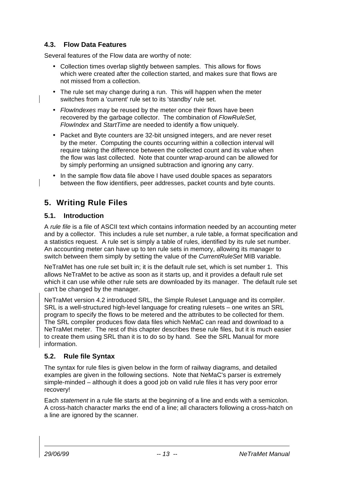## **4.3. Flow Data Features**

Several features of the Flow data are worthy of note:

- Collection times overlap slightly between samples. This allows for flows which were created after the collection started, and makes sure that flows are not missed from a collection.
- The rule set may change during a run. This will happen when the meter switches from a 'current' rule set to its 'standby' rule set.
- FlowIndexes may be reused by the meter once their flows have been recovered by the garbage collector. The combination of FlowRuleSet, FlowIndex and StartTime are needed to identify a flow uniquely.
- Packet and Byte counters are 32-bit unsigned integers, and are never reset by the meter. Computing the counts occurring within a collection interval will require taking the difference between the collected count and its value when the flow was last collected. Note that counter wrap-around can be allowed for by simply performing an unsigned subtraction and ignoring any carry.
- In the sample flow data file above I have used double spaces as separators between the flow identifiers, peer addresses, packet counts and byte counts.

## **5. Writing Rule Files**

### **5.1. Introduction**

A rule file is a file of ASCII text which contains information needed by an accounting meter and by a collector. This includes a rule set number, a rule table, a format specification and a statistics request. A rule set is simply a table of rules, identified by its rule set number. An accounting meter can have up to ten rule sets in memory, allowing its manager to switch between them simply by setting the value of the *CurrentRuleSet* MIB variable.

NeTraMet has one rule set built in; it is the default rule set, which is set number 1. This allows NeTraMet to be active as soon as it starts up, and it provides a default rule set which it can use while other rule sets are downloaded by its manager. The default rule set can't be changed by the manager.

NeTraMet version 4.2 introduced SRL, the Simple Ruleset Language and its compiler. SRL is a well-structured high-level language for creating rulesets – one writes an SRL program to specify the flows to be metered and the attributes to be collected for them. The SRL compiler produces flow data files which NeMaC can read and download to a NeTraMet meter. The rest of this chapter describes these rule files, but it is much easier to create them using SRL than it is to do so by hand. See the SRL Manual for more information.

## **5.2. Rule file Syntax**

The syntax for rule files is given below in the form of railway diagrams, and detailed examples are given in the following sections. Note that NeMaC's parser is extremely simple-minded – although it does a good job on valid rule files it has very poor error recovery!

Each statement in a rule file starts at the beginning of a line and ends with a semicolon. A cross-hatch character marks the end of a line; all characters following a cross-hatch on a line are ignored by the scanner.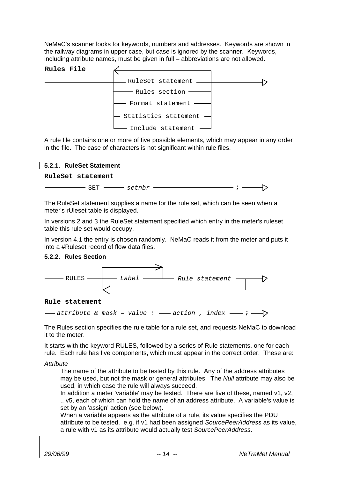NeMaC's scanner looks for keywords, numbers and addresses. Keywords are shown in the railway diagrams in upper case, but case is ignored by the scanner. Keywords, including attribute names, must be given in full – abbreviations are not allowed.



A rule file contains one or more of five possible elements, which may appear in any order in the file. The case of characters is not significant within rule files.

#### **5.2.1. RuleSet Statement**

**RuleSet statement**

| пm        | $\sim$ $\sim$ $\sim$ $\sim$ $\sim$ |  |  |
|-----------|------------------------------------|--|--|
| п.<br>- - | ີ⊂ີ∟⊥ມ                             |  |  |

The RuleSet statement supplies a name for the rule set, which can be seen when a meter's rUleset table is displayed.

In versions 2 and 3 the RuleSet statement specified which entry in the meter's ruleset table this rule set would occupy.

In version 4.1 the entry is chosen randomly. NeMaC reads it from the meter and puts it into a #Ruleset record of flow data files.

#### **5.2.2. Rules Section**



#### **Rule statement**

 $\rightarrow$  attribute & mask = value :  $\rightarrow$  action , index  $\rightarrow$  ;  $\rightarrow$ 

The Rules section specifies the rule table for a rule set, and requests NeMaC to download it to the meter.

It starts with the keyword RULES, followed by a series of Rule statements, one for each rule. Each rule has five components, which must appear in the correct order. These are:

#### **Attribute**

The name of the attribute to be tested by this rule. Any of the address attributes may be used, but not the mask or general attributes. The Null attribute may also be used, in which case the rule will always succeed.

In addition a meter 'variable' may be tested. There are five of these, named v1, v2, .. v5, each of which can hold the name of an address attribute. A variable's value is set by an 'assign' action (see below).

When a variable appears as the attribute of a rule, its value specifies the PDU attribute to be tested. e.g. if v1 had been assigned SourcePeerAddress as its value, a rule with v1 as its attribute would actually test SourcePeerAddress.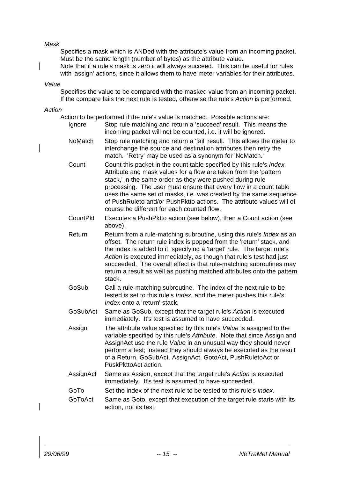#### Mask

Specifies a mask which is ANDed with the attribute's value from an incoming packet. Must be the same length (number of bytes) as the attribute value.

Note that if a rule's mask is zero it will always succeed. This can be useful for rules with 'assign' actions, since it allows them to have meter variables for their attributes.

#### Value

Specifies the value to be compared with the masked value from an incoming packet. If the compare fails the next rule is tested, otherwise the rule's Action is performed.

#### Action

|                 | Action to be performed if the rule's value is matched. Possible actions are:                                                                                                                                                                                                                                                                                                                                                                                          |
|-----------------|-----------------------------------------------------------------------------------------------------------------------------------------------------------------------------------------------------------------------------------------------------------------------------------------------------------------------------------------------------------------------------------------------------------------------------------------------------------------------|
| Ignore          | Stop rule matching and return a 'succeed' result. This means the<br>incoming packet will not be counted, i.e. it will be ignored.                                                                                                                                                                                                                                                                                                                                     |
| <b>NoMatch</b>  | Stop rule matching and return a 'fail' result. This allows the meter to<br>interchange the source and destination attributes then retry the<br>match. 'Retry' may be used as a synonym for 'NoMatch.'                                                                                                                                                                                                                                                                 |
| Count           | Count this packet in the count table specified by this rule's Index.<br>Attribute and mask values for a flow are taken from the 'pattern<br>stack,' in the same order as they were pushed during rule<br>processing. The user must ensure that every flow in a count table<br>uses the same set of masks, i.e. was created by the same sequence<br>of PushRuleto and/or PushPktto actions. The attribute values will of<br>course be different for each counted flow. |
| <b>CountPkt</b> | Executes a PushPktto action (see below), then a Count action (see<br>above).                                                                                                                                                                                                                                                                                                                                                                                          |
| Return          | Return from a rule-matching subroutine, using this rule's Index as an<br>offset. The return rule index is popped from the 'return' stack, and<br>the index is added to it, specifying a 'target' rule. The target rule's<br>Action is executed immediately, as though that rule's test had just<br>succeeded. The overall effect is that rule-matching subroutines may<br>return a result as well as pushing matched attributes onto the pattern<br>stack.            |
| GoSub           | Call a rule-matching subroutine. The index of the next rule to be<br>tested is set to this rule's Index, and the meter pushes this rule's<br>Index onto a 'return' stack.                                                                                                                                                                                                                                                                                             |
| GoSubAct        | Same as GoSub, except that the target rule's Action is executed<br>immediately. It's test is assumed to have succeeded.                                                                                                                                                                                                                                                                                                                                               |
| Assign          | The attribute value specified by this rule's Value is assigned to the<br>variable specified by this rule's Attribute. Note that since Assign and<br>AssignAct use the rule Value in an unusual way they should never<br>perform a test; instead they should always be executed as the result<br>of a Return, GoSubAct. AssignAct, GotoAct, PushRuletoAct or<br>PuskPkttoAct action.                                                                                   |
| AssignAct       | Same as Assign, except that the target rule's Action is executed<br>immediately. It's test is assumed to have succeeded.                                                                                                                                                                                                                                                                                                                                              |
| GoTo            | Set the index of the next rule to be tested to this rule's index.                                                                                                                                                                                                                                                                                                                                                                                                     |
| GoToAct         | Same as Goto, except that execution of the target rule starts with its<br>action, not its test.                                                                                                                                                                                                                                                                                                                                                                       |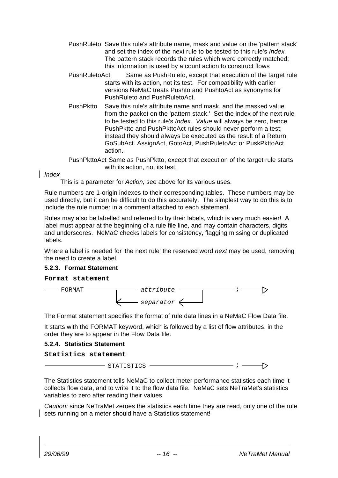- PushRuleto Save this rule's attribute name, mask and value on the 'pattern stack' and set the index of the next rule to be tested to this rule's Index. The pattern stack records the rules which were correctly matched; this information is used by a count action to construct flows
- PushRuletoAct Same as PushRuleto, except that execution of the target rule starts with its action, not its test. For compatibility with earlier versions NeMaC treats Pushto and PushtoAct as synonyms for PushRuleto and PushRuletoAct.
- PushPktto Save this rule's attribute name and mask, and the masked value from the packet on the 'pattern stack.' Set the index of the next rule to be tested to this rule's Index. Value will always be zero, hence PushPktto and PushPkttoAct rules should never perform a test; instead they should always be executed as the result of a Return, GoSubAct. AssignAct, GotoAct, PushRuletoAct or PuskPkttoAct action.
- PushPkttoAct Same as PushPktto, except that execution of the target rule starts with its action, not its test.

Index

This is a parameter for Action; see above for its various uses.

Rule numbers are 1-origin indexes to their corresponding tables. These numbers may be used directly, but it can be difficult to do this accurately. The simplest way to do this is to include the rule number in a comment attached to each statement.

Rules may also be labelled and referred to by their labels, which is very much easier! A label must appear at the beginning of a rule file line, and may contain characters, digits and underscores. NeMaC checks labels for consistency, flagging missing or duplicated labels.

Where a label is needed for 'the next rule' the reserved word next may be used, removing the need to create a label.

#### **5.2.3. Format Statement**

#### **Format statement**



The Format statement specifies the format of rule data lines in a NeMaC Flow Data file.

It starts with the FORMAT keyword, which is followed by a list of flow attributes, in the order they are to appear in the Flow Data file.

#### **5.2.4. Statistics Statement**

**Statistics statement**

STATISTICS **;**

The Statistics statement tells NeMaC to collect meter performance statistics each time it collects flow data, and to write it to the flow data file. NeMaC sets NeTraMet's statistics variables to zero after reading their values.

Caution: since NeTraMet zeroes the statistics each time they are read, only one of the rule sets running on a meter should have a Statistics statement!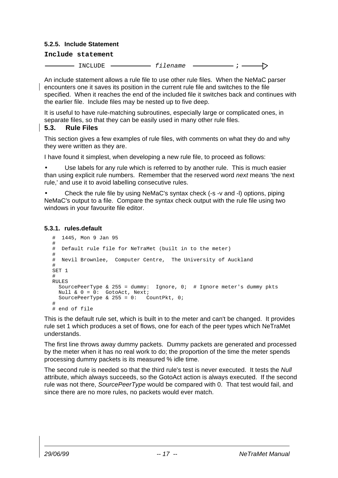#### **5.2.5. Include Statement**

#### **Include statement**

INCLUDE *filename* **;**  $\rightarrow$ 

An include statement allows a rule file to use other rule files. When the NeMaC parser encounters one it saves its position in the current rule file and switches to the file specified. When it reaches the end of the included file it switches back and continues with the earlier file. Include files may be nested up to five deep.

It is useful to have rule-matching subroutines, especially large or complicated ones, in separate files, so that they can be easily used in many other rule files.

#### **5.3. Rule Files**

This section gives a few examples of rule files, with comments on what they do and why they were written as they are.

I have found it simplest, when developing a new rule file, to proceed as follows:

Use labels for any rule which is referred to by another rule. This is much easier than using explicit rule numbers. Remember that the reserved word next means 'the next rule,' and use it to avoid labelling consecutive rules.

• Check the rule file by using NeMaC's syntax check (-s -v and -l) options, piping NeMaC's output to a file. Compare the syntax check output with the rule file using two windows in your favourite file editor.

#### **5.3.1. rules.default**

```
# 1445, Mon 9 Jan 95
#
# Default rule file for NeTraMet (built in to the meter)
#
# Nevil Brownlee, Computer Centre, The University of Auckland
#
SET 1
#
RULES
  SourcePeerType & 255 = dummy: Ignore, 0; # Ignore meter's dummy pkts
  Null & 0 = 0: GotoAct, Next;
  SourcePeerType & 255 = 0: CountPkt, 0;
#
# end of file
```
This is the default rule set, which is built in to the meter and can't be changed. It provides rule set 1 which produces a set of flows, one for each of the peer types which NeTraMet understands.

The first line throws away dummy packets. Dummy packets are generated and processed by the meter when it has no real work to do; the proportion of the time the meter spends processing dummy packets is its measured % idle time.

The second rule is needed so that the third rule's test is never executed. It tests the Null attribute, which always succeeds, so the GotoAct action is always executed. If the second rule was not there, SourcePeerType would be compared with 0. That test would fail, and since there are no more rules, no packets would ever match.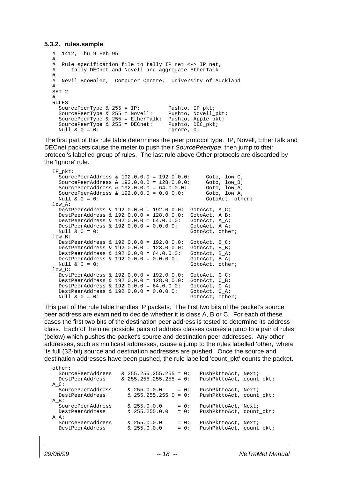#### **5.3.2. rules.sample**

```
# 1412, Thu 9 Feb 95
#
# Rule specification file to tally IP net <-> IP net,
# tally DECnet and Novell and aggregate EtherTalk
#
# Nevil Brownlee, Computer Centre, University of Auckland
#
SET 2
#
RULES
 SourcePeerType & 255 = IP: Pushto, IP_pkt;
  SourcePeerType & 255 = Novell: Pushto, Novell_pkt;
  SourcePeerType & 255 = EtherTalk: Pushto, Apple_pkt;<br>SourcePeerType & 255 = DECnet: Pushto, DEC_pkt;
  SourcePeerType & 255 = DECnet:
 Null & 0 = 0: 1gnore, 0;
```
The first part of this rule table determines the peer protocol type. IP, Novell, EtherTalk and DECnet packets cause the meter to push their SourcePeertype, then jump to their protocol's labelled group of rules. The last rule above Other protocols are discarded by the 'Ignore' rule.

```
IP_pkt:
  SourcePeerAddress & 192.0.0.0 = 192.0.0.0: Goto, low_C;<br>SourcePeerAddress & 192.0.0.0 = 128.0.0.0: Goto, low_B;<br>SourcePeerAddress & 192.0.0.0 = 64.0.0.0: Goto, low_A;
  SourcePeerAddress & 192.0.0.0 = 128.0.0.0:
  SourcePeerAddress & 192.0.0.0 = 64.0.0.0: Goto, low_A;<br>SourcePeerAddress & 192.0.0.0 = 0.0.0.0: Goto, low A;
  SourcePeerAddress & 192.0.0.0 = 0.0.0.0:<br>Null & 0 = 0:
                                                                      GotoAct, other;
low A:
   DestPeerAddress & 192.0.0.0 = 192.0.0.0: GotoAct, A_C;
  DestPeerAddress & 192.0.0.0 = 128.0.0.0: GotoAct, A_B;<br>DestPeerAddress & 192.0.0.0 = 64.0.0.0: GotoAct, A_A;
  DestPeerAddress & 192.0.0.0 = 64.0.0.0: GotoAct, A_A;<br>DestPeerAddress & 192.0.0.0 = 0.0.0.0: GotoAct, A_A;
  DestPeerAddress & 192.0.0.0 = 0.0.0.0:
  Null \& 0 = 0: GotoAct, other;
low_B:
  DestPeerAddress & 192.0.0.0 = 192.0.0.0: GotoAct, B_C;<br>DestPeerAddress & 192.0.0.0 = 128.0.0.0: GotoAct, B_B;
  DestPeerAddress & 192.0.0.0 = 128.0.0.0: GotoAct, B_B;<br>DestPeerAddress & 192.0.0.0 = 64.0.0.0: GotoAct, B_A;
  DestPeerAddress & 192.0.0.0 = 64.0.0.0:
   DestPeerAddress & 192.0.0.0 = 0.0.0.0: GotoAct, B_A;
  Null \& 0 = 0: GotoAct, other;
low C:
  DestPeerAddress & 192.0.0.0 = 192.0.0.0: GotoAct, C_C;<br>DestPeerAddress & 192.0.0.0 = 128.0.0.0: GotoAct, C_B;
  DestPeerAddress & 192.0.0.0 = 128.0.0.0:
   DestPeerAddress & 192.0.0.0 = 64.0.0.0: GotoAct, C_A;
  DestPeerAddress & 192.0.0.0 = 0.0.0.0: GotoAct, C_A;<br>Null & 0 = 0: GotoAct, othe
                                                               GotoAct, other;
```
This part of the rule table handles IP packets. The first two bits of the packet's source peer address are examined to decide whether it is class A, B or C. For each of these cases the first two bits of the destination peer address is tested to determine its address class. Each of the nine possible pairs of address classes causes a jump to a pair of rules (below) which pushes the packet's source and destination peer addresses. Any other addresses, such as multicast addresses, cause a jump to the rules labelled 'other,' where its full (32-bit) source and destination addresses are pushed. Once the source and destination addresses have been pushed, the rule labelled 'count\_pkt' counts the packet.

| other:            |                            |         |                          |  |
|-------------------|----------------------------|---------|--------------------------|--|
| SourcePeerAddress | $\& 255.255.255.255 = 0$ : |         | PushPkttoAct, Next;      |  |
| DestPeerAddress   | $\& 255.255.255.255 = 0$ : |         | PushPkttoAct, count_pkt; |  |
| а с:              |                            |         |                          |  |
| SourcePeerAddress | $\& 255.0.0.0$             | $= 0$ : | PushPkttoAct, Next;      |  |
| DestPeerAddress   | $\& 255.255.255.0 = 0$ :   |         | PushPkttoAct, count pkt; |  |
| A B:              |                            |         |                          |  |
| SourcePeerAddress | $\& 255.0.0.0$             | $= 0$ : | PushPkttoAct, Next;      |  |
| DestPeerAddress   | $\& 255.255.0.0$           | $= 0$ : | PushPkttoAct, count_pkt; |  |
| A A:              |                            |         |                          |  |
| SourcePeerAddress | $\& 255.0.0.0$             | $= 0$ : | PushPkttoAct, Next;      |  |
| DestPeerAddress   | $\& 255.0.0.0$             | $= 0$ : | PushPkttoAct, count_pkt; |  |
|                   |                            |         |                          |  |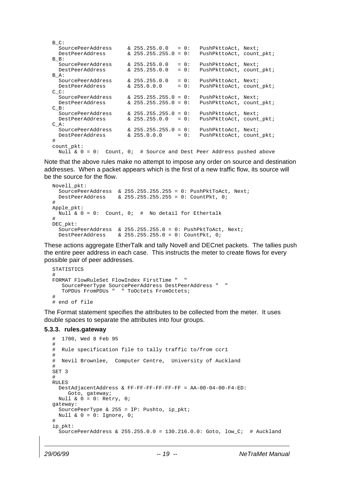| $B$ $C$ :                                                                      |                          |         |                          |
|--------------------------------------------------------------------------------|--------------------------|---------|--------------------------|
| SourcePeerAddress                                                              | $\& 255.255.0.0 = 0:$    |         | PushPkttoAct, Next;      |
| DestPeerAddress                                                                | $\& 255.255.255.0 = 0$ : |         | PushPkttoAct, count pkt; |
| B B:                                                                           |                          |         |                          |
| SourcePeerAddress                                                              | $\& 255.255.0.0$         | $= 0$ : | PushPkttoAct, Next;      |
| DestPeerAddress                                                                | $\& 255.255.0.0$         | $= 0$ : | PushPkttoAct, count pkt; |
| B A:                                                                           |                          |         |                          |
| SourcePeerAddress                                                              | $\& 255.255.0.0$         | $= 0$ : | PushPkttoAct, Next;      |
| DestPeerAddress                                                                | $\& 255.0.0.0$           | $= 0$ : | PushPkttoAct, count_pkt; |
| $C_{\rm C}$ :                                                                  |                          |         |                          |
| SourcePeerAddress                                                              | $\& 255.255.255.0 = 0$ : |         | PushPkttoAct, Next;      |
| DestPeerAddress                                                                | $\& 255.255.255.0 = 0$ : |         | PushPkttoAct, count_pkt; |
| $C$ B:                                                                         |                          |         |                          |
| SourcePeerAddress                                                              | $\& 255.255.255.0 = 0$ : |         | PushPkttoAct, Next;      |
| DestPeerAddress                                                                | & 255.255.0.0            | $= 0$ : | PushPkttoAct, count pkt; |
| $C A$ :                                                                        |                          |         |                          |
| SourcePeerAddress                                                              | $\& 255.255.255.0 = 0$ : |         | PushPkttoAct, Next;      |
| DestPeerAddress                                                                | & 255.0.0.0              | $= 0$ : | PushPkttoAct, count pkt; |
| #                                                                              |                          |         |                          |
| count_pkt:                                                                     |                          |         |                          |
| # Source and Dest Peer Address pushed above<br>Null & $0 = 0$ :<br>Count, $0;$ |                          |         |                          |

Note that the above rules make no attempt to impose any order on source and destination addresses. When a packet appears which is the first of a new traffic flow, its source will be the source for the flow.

```
Novell_pkt:
 SourcePeerAddress & 255.255.255.255 = 0: PushPktToAct, Next;
 DestPeerAddress & 255.255.255.255 = 0: CountPkt, 0;
#
Apple_pkt:
  Null \& 0 = 0: Count, 0; # No detail for Ethertalk
#
DEC_pkt:
  SourcePeerAddress & 255.255.255.0 = 0: PushPktToAct, Next;<br>DestPeerAddress & 255.255.255.0 = 0: CountPkt, 0;
                        \& 255.255.255.0 = 0: CountPkt, 0;
```
These actions aggregate EtherTalk and tally Novell and DECnet packets. The tallies push the entire peer address in each case. This instructs the meter to create flows for every possible pair of peer addresses.

```
STATISTICS
#
FORMAT FlowRuleSet FlowIndex FirstTime " "
    SourcePeerType SourcePeerAddress DestPeerAddress " "
                      " ToOctets FromOctets;
#
# end of file
```
The Format statement specifies the attributes to be collected from the meter. It uses double spaces to separate the attributes into four groups.

#### **5.3.3. rules.gateway**

```
# 1700, Wed 8 Feb 95
#
# Rule specification file to tally traffic to/from ccr1
#
# Nevil Brownlee, Computer Centre, University of Auckland
#
SET 3
#
RULES
  DestAdjacentAddress & FF-FF-FF-FF-FF-FF = AA-00-04-00-F4-ED:
     Goto, gateway;
 Null & 0 = 0: Retry, 0;
gateway:
  SourcePeerType & 255 = IP: Pushto, ip pkt;
 Null & 0 = 0: Ignore, 0;
#
ip_pkt:
   SourcePeerAddress & 255.255.0.0 = 130.216.0.0: Goto, low_C; # Auckland
```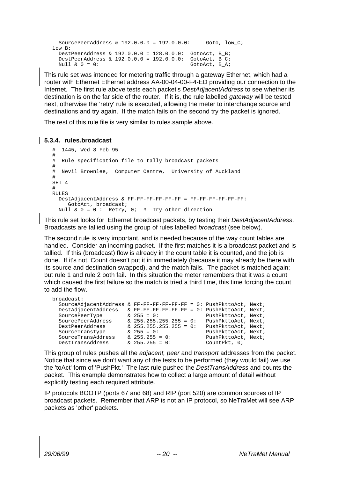```
 SourcePeerAddress & 192.0.0.0 = 192.0.0.0: Goto, low_C;
lowB: DestPeerAddress & 192.0.0.0 = 128.0.0.0: GotoAct, B_B;
  DestPeerAddress & 192.0.0.0 = 192.0.0.0: GotoAct, B_C;<br>Null & 0 = 0: GotoAct, B A;
                                                  GotoAct, B_A;
```
This rule set was intended for metering traffic through a gateway Ethernet, which had a router with Ethernet Ethernet address AA-00-04-00-F4-ED providing our connection to the Internet. The first rule above tests each packet's *DestAdjacentAddress* to see whether its destination is on the far side of the router. If it is, the rule labelled gateway will be tested next, otherwise the 'retry' rule is executed, allowing the meter to interchange source and destinations and try again. If the match fails on the second try the packet is ignored.

The rest of this rule file is very similar to rules.sample above.

#### **5.3.4. rules.broadcast**

```
# 1445, Wed 8 Feb 95
#
# Rule specification file to tally broadcast packets
#
# Nevil Brownlee, Computer Centre, University of Auckland
#
SET 4
#
RULES
  DestAdjacentAddress & FF-FF-FF-FF-FF-FF = FF-FF-FF-FF-FF-FF:
    GotoAct, broadcast;
  Null \& 0 = 0: Retry, 0; # Try other direction
```
This rule set looks for Ethernet broadcast packets, by testing their DestAdjacentAddress. Broadcasts are tallied using the group of rules labelled *broadcast* (see below).

The second rule is very important, and is needed because of the way count tables are handled. Consider an incoming packet. If the first matches it is a broadcast packet and is tallied. If this (broadcast) flow is already in the count table it is counted, and the job is done. If it's not, Count doesn't put it in immediately (because it may already be there with its source and destination swapped), and the match fails. The packet is matched again; but rule 1 and rule 2 both fail. In this situation the meter remembers that it was a count which caused the first failure so the match is tried a third time, this time forcing the count to add the flow.

|  | PushPkttoAct, Next;                                                                                                                                                                                                                       |
|--|-------------------------------------------------------------------------------------------------------------------------------------------------------------------------------------------------------------------------------------------|
|  | PushPkttoAct, Next;                                                                                                                                                                                                                       |
|  | PushPkttoAct, Next;                                                                                                                                                                                                                       |
|  | PushPkttoAct, Next;                                                                                                                                                                                                                       |
|  | PushPkttoAct, Next;                                                                                                                                                                                                                       |
|  | Count $Pkt, 0;$                                                                                                                                                                                                                           |
|  | & FF-FF-FF-FF-FF-FF = $0:$ PushPkttoAct, Next;<br>& FF-FF-FF-FF-FF-FF = 0: PushPkttoAct, Next;<br>$\& 255 = 0$ :<br>$\& 255.255.255.255 = 0$ :<br>$\& 255.255.255.255 = 0$ :<br>$\& 255 = 0:$<br>$\& 255.255 = 0$ :<br>$\& 255.255 = 0$ : |

This group of rules pushes all the *adjacent, peer* and *transport* addresses from the packet. Notice that since we don't want any of the tests to be performed (they would fail) we use the 'toAct' form of 'PushPkt.' The last rule pushed the DestTransAddress and counts the packet. This example demonstrates how to collect a large amount of detail without explicitly testing each required attribute.

IP protocols BOOTP (ports 67 and 68) and RIP (port 520) are common sources of IP broadcast packets. Remember that ARP is not an IP protocol, so NeTraMet will see ARP packets as 'other' packets.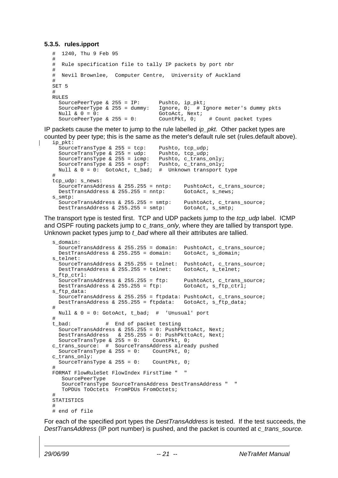#### **5.3.5. rules.ipport**

```
# 1240, Thu 9 Feb 95
#
# Rule specification file to tally IP packets by port nbr
#
# Nevil Brownlee, Computer Centre, University of Auckland
#
SET 5
#
RULES
  SourcePeerType & 255 = IP: Pushto, ip_pkt;<br>SourcePeerType & 255 = dummy: Ignore, 0; # I
                                   Ignore, 0: # Ignore meter's dummy pkts
 Null & 0 = 0: GotoAct, Next;
  SourcePeerType & 255 = 0: CountPkt, 0; # Count packet types
```
IP packets cause the meter to jump to the rule labelled  $ip\_pkt$ . Other packet types are counted by peer type; this is the same as the meter's default rule set (rules.default above). ip\_pkt:

```
SourceTransType & 255 = tcp: Pushto, tcp_udp;
  SourceTransType & 255 = ud\bar{p}: Pushto, tcp_udp;<br>SourceTransType & 255 = icmp: Pushto, c_trans_only;
  SourceTransType & 255 = icmp: Pushto, c_trans_only;<br>SourceTransType & 255 = ospf: Pushto, c trans only;
  SourceTransType & 255 = \text{ospf}:Null \& 0 = 0: GotoAct, t_bad; # Unknown transport type
#
tcp_udp: s_news:
   SourceTransAddress & 255.255 = nntp: PushtoAct, c_trans_source;
  DestTransAddress & 255.255 = nntp: GotoAct, s_news;
s_smtp:
  SourceTransAddress & 255.255 = \text{sntp:} PushtoAct, c_trans_source;
  DestTransAddress & 255.255 = smtp: GotoAct, s_smtp;
```
The transport type is tested first. TCP and UDP packets jump to the tcp\_udp label. ICMP and OSPF routing packets jump to c\_trans\_only, where they are tallied by transport type. Unknown packet types jump to  $t$  bad where all their attributes are tallied.

```
s_domain:
   SourceTransAddress & 255.255 = domain: PushtoAct, c_trans_source;
  DestTransAddress & 255.255 = domain: GotoAct, s_domain;
s_telnet:
  SourceTransAddress & 255.255 = telnet: PushtoAct, c_trans_source;<br>DestTransAddress & 255.255 = telnet: GotoAct, s telnet;
 DestTransAddress & 255.255 = telnet:
s_ftp_ctrl:
 SourceTransAddress & 255.255 = ftp: PushtoAct, c_trans_source;
  DestTransAddress & 255.255 = ftp: GotoAct, s_ftp_ctrl;
s_ftp_data:
   SourceTransAddress & 255.255 = ftpdata: PushtoAct, c_trans_source;
 DestTransAddress & 255.255 = ftpdata: GotoAct, s ftp data;
#
  Null & 0 = 0: GotoAct, t_bad; # 'Unusual' port
#
t_bad: # End of packet testing
  SourceTransAddress & 255.255 = 0: PushPkttoAct, Next;
  DestTransAddress & 255.255 = 0: PushPkttoAct, Next;
 SourceTransType & 255 = 0: CountPkt, 0;
c_trans_source: # SourceTransAddress already pushed
 SourceTransType & 255 = 0: CountPkt, 0;
c_trans_only:
 SourceTransType & 255 = 0: CountPkt, 0;
#
FORMAT FlowRuleSet FlowIndex FirstTime " "
   SourcePeerType
    SourceTransType SourceTransAddress DestTransAddress " "
   ToPDUs ToOctets FromPDUs FromOctets;
#
STATISTICS
#
# end of file
```
For each of the specified port types the *DestTransAddress* is tested. If the test succeeds, the DestTransAddress (IP port number) is pushed, and the packet is counted at c\_trans\_source.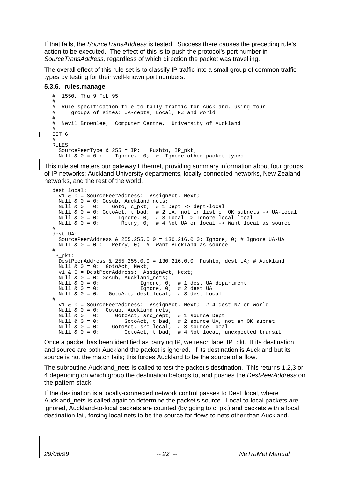If that fails, the SourceTransAddress is tested. Success there causes the preceding rule's action to be executed. The effect of this is to push the protocol's port number in SourceTransAddress, regardless of which direction the packet was travelling.

The overall effect of this rule set is to classify IP traffic into a small group of common traffic types by testing for their well-known port numbers.

#### **5.3.6. rules.manage**

```
# 1550, Thu 9 Feb 95
#
# Rule specification file to tally traffic for Auckland, using four
# groups of sites: UA-depts, Local, NZ and World
#
# Nevil Brownlee, Computer Centre, University of Auckland
#
SET 6
#
RULES
  SourcePeerType & 255 = IP: Pushto, IP_pkt;
  Null & 0 = 0: Ignore, 0; # Ignore other packet types
```
This rule set meters our gateway Ethernet, providing summary information about four groups of IP networks: Auckland University departments, locally-connected networks, New Zealand networks, and the rest of the world.

```
dest_local:
   v1 & 0 = SourcePeerAddress: AssignAct, Next;
   Null & 0 = 0: Gosub, Auckland_nets;
 Null & 0 = 0: Goto, c_pkt; # 1 Dept -> dept-local
 Null & 0 = 0: GotoAct, t_bad; # 2 UA, not in list of OK subnets -> UA-local
 Null & 0 = 0: Ignore, 0: # 3 Local -> Ignore local-local<br>Null & 0 = 0: Retry, 0: # 4 Not UA or local -> Want local
                        Retry, 0; # 4 Not UA or local -> Want local as source
#
dest_UA:
   SourcePeerAddress & 255.255.0.0 = 130.216.0.0: Ignore, 0; # Ignore UA-UA
  Null \& 0 = 0 : Retry, 0; # Want Auckland as source
#
IP_pkt:
  DestPeerAddress & 255.255.0.0 = 130.216.0.0: Pushto, dest_UA; # Auckland
   Null & 0 = 0: GotoAct, Next;
   v1 & 0 = DestPeerAddress: AssignAct, Next;
  Null & 0 = 0: Gosub, Auckland nets;
  Null \& 0 = 0:<br>
Null \& 0 = 0:<br>
Ignore, 0; # 2 dest UA
                               Ignore, 0; \# 2 dest UA
   Null & 0 = 0: GotoAct, dest_local; # 3 dest Local
#
   v1 & 0 = SourcePeerAddress: AssignAct, Next; # 4 dest NZ or world
 Null \& 0 = 0: Gosub, Auckland_nets;<br>Null \& 0 = 0: GotoAct, src_dept;<br>Null \& 0 = 0: GotoAct, t_bad;
Null & 0 = 0: GotoAct, src_dept; # 1 source Dept
Null & 0 = 0: GotoAct, t_bad; # 2 source UA, not an OK subnet
  Null \& 0 = 0: GotoAct, src\_local; # 3 source Local<br>Null \& 0 = 0: GotoAct, t bad; # 4 Not local, w
                         GotoAct, t_bad; # 4 Not local, unexpected transit
```
Once a packet has been identified as carrying IP, we reach label IP pkt. If its destination and source are both Auckland the packet is ignored. If its destination is Auckland but its source is not the match fails; this forces Auckland to be the source of a flow.

The subroutine Auckland nets is called to test the packet's destination. This returns 1,2,3 or 4 depending on which group the destination belongs to, and pushes the *DestPeerAddress* on the pattern stack.

If the destination is a locally-connected network control passes to Dest local, where Auckland nets is called again to determine the packet's source. Local-to-local packets are ignored, Auckland-to-local packets are counted (by going to c\_pkt) and packets with a local destination fail, forcing local nets to be the source for flows to nets other than Auckland.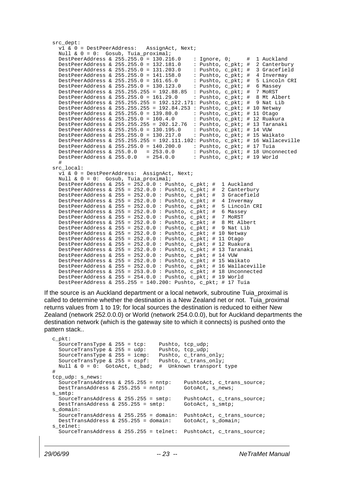```
src_dept:
  v1 & 0 = DestPeerAddress: AssignAct, Next;
   Null & 0 = 0: Gosub, Tuia_proximal;
  DestPeerAddress & 255.255.0 = 130.216.0 : Ignore, 0; # 1 Auckland<br>DestPeerAddress & 255.255.0 = 132.181.0 : Pushto, c_pkt; # 2 Canterbury<br>DestPeerAddress & 255.255.0 = 131.203.0 : Pushto, c_pkt; # 3 Gracefield<br>DestPeerAddr
  DestPeerAddress & 255.255.0 = 132.181.0DestPeerAddress & 255.255.0 = 131.203.0DestPerAddress & 255.255.0 = 141.158.0DestPeerAddress & 255.255.0 = 161.65.0 : Pushto, c_pkt; # 5 Lincoln CRI<br>DestPeerAddress & 255.255.0 = 130.123.0 : Pushto, c_pkt; # 6 Massey<br>DestPeerAddress & 255.255.0 = 130.00005 : Pushto, c_pkt; # 6 Massey
 DestPeerAddress & 255.255.0 = 130.123.0 : Pushto, c_pkt; # 6 Massey
 DestPeerAddress & 255.255.255 = 192.88.85 : Pushto, c_pkt; # 7 MoRST
  DestPeerAddress & 255.255.0 = 161.29.0 : Pushto, c_pkt; # 8 Mt Albert
   DestPeerAddress & 255.255.255 = 192.122.171: Pushto, c_pkt; # 9 Nat Lib
  DestPeerAddress & 255.255.255 = 192.84.253 : Pushto, c_pkt; # 10 Netway
   DestPeerAddress & 255.255.0 = 139.80.0 : Pushto, c_pkt; # 11 Otago
   DestPeerAddress & 255.255.0 = 160.4.0 : Pushto, c_pkt; # 12 Ruakura
DestPeerAddress & 255.255.255 = 202.12.76 : Pushto, c_pkt; # 13 Taranaki
 DestPeerAddress & 255.255.0 = 130.195.0 : Pushto, c_pkt; # 14 VUW
   DestPeerAddress & 255.255.0 = 130.217.0 : Pushto, c_pkt; # 15 Waikato
  DestPeerAddress & 255.255.255 = 192.111.102: Pushto, c_pkt; # 16 Wallaceville
  DestPeerAddress & 255.255.0 = 140.200.0 : Pushto, c_pkt; # 17 Tuia<br>DestPeerAddress & 255.0.0 = 253.0.0 : Pushto, c_pkt; # 18 Unco
  DestPeerAddress & 255.0.0 = 253.0.0 : Pushto, c_pkt; # 18 Unconnected<br>DestPeerAddress & 255.0.0 = 254.0.0 : Pushto, c_pkt; # 19 World
                                                     : Pushto, c_pkt; # 19 World
 #
src_local:
  v1 & 0 = DestPeerAddress: AssignAct, Next;
   Null & 0 = 0: Gosub, Tuia_proximal;
   DestPeerAddress & 255 = 252.0.0 : Pushto, c_pkt; # 1 Auckland
  DestPeerAddress & 255 = 252.0.0 : Pushto, c_pkt; # 2 Canterbury
  DestPeerAddress & 255 = 252.0.0 : Pushto, c_pkt; # 3 Gracefield<br>DestPeerAddress & 255 = 252.0.0 : Pushto, c_pkt; # 4 Invermay
  DestPeerAddress & 255 = 252.0.0 : Pushto, c_pkt; # 4 Invermay<br>DestPeerAddress & 255 = 252.0.0 : Pushto, c pkt; # 5 Lincoln CRI
  DestPeerAddress & 255 = 252.0.0 : Pushto, c_pkt; #
  DestPeerAddress & 255 = 252.0.0: Pushto, c_pkt; # 6 Massey
   DestPeerAddress & 255 = 252.0.0 : Pushto, c_pkt; # 7 MoRST
  DestPeerAddress & 255 = 252.0.0 : Pushto, c_pkt; # 8 Mt Albert<br>DestPeerAddress & 255 = 252.0.0 : Pushto, c_pkt; # 9 Nat Lib
  DestPeerAddress & 255 = 252.0.0 : Pushto, c_pkt; #
   DestPeerAddress & 255 = 252.0.0 : Pushto, c_pkt; # 10 Netway
  DestPeerAddress & 255 = 252.0.0 : Pushto, c<sub>P</sub>kt; # 11 Otago
  DestPeerAddress & 255 = 252.0.0 : Pushto, c_pkt; # 12 Ruakura
   DestPeerAddress & 255 = 252.0.0 : Pushto, c_pkt; # 13 Taranaki
   DestPeerAddress & 255 = 252.0.0 : Pushto, c_pkt; # 14 VUW
  DestPeerAddress & 255 = 252.0.0 : Pushto, c_pkt; # 15 Waikato
  DestPeerAddress & 255 = 252.0.0 : Pushto, c_pkt; # 16 Wallaceville
  DestPeerAddress & 255 = 253.0.0 : Pushto, c_pkt; # 18 Unconnected
  DestPeerAddress & 255 = 254.0.0 : Pushto, c pkt; # 19 World
  DestPeerAddress & 255.255 = 140.200: Pushto, c_pkt; # 17 Tuia
```
If the source is an Auckland department or a local network, subroutine Tuia\_proximal is called to determine whether the destination is a New Zealand net or not. Tuia\_proximal returns values from 1 to 19; for local sources the destination is reduced to either New Zealand (network 252.0.0.0) or World (network 254.0.0.0), but for Auckland departments the destination network (which is the gateway site to which it connects) is pushed onto the pattern stack..

c\_pkt: SourceTransType & 255 = tcp: Pushto, tcp\_udp;<br>SourceTransType & 255 = udp: Pushto, tcp\_udp; SourceTransType &  $255 = udp$ : SourceTransType & 255 = icmp: Pushto, c\_trans\_only; SourceTransType & 255 = ospf: Pushto, c\_trans\_only; Null & 0 = 0: GotoAct, t\_bad; # Unknown transport type # tcp\_udp: s\_news: SourceTransAddress & 255.255 = nntp: PushtoAct, c\_trans\_source;<br>DestTransAddress & 255.255 = nntp: GotoAct, s\_news; DestTransAddress &  $255.255 = n$ ntp: s\_smtp: SourceTransAddress & 255.255 = smtp: PushtoAct, c\_trans\_source; DestTransAddress & 255.255 = smtp: GotoAct, s\_smtp; s\_domain: SourceTransAddress & 255.255 = domain: PushtoAct, c\_trans\_source;<br>DestTransAddress & 255.255 = domain: GotoAct, s domain; DestTransAddress & 255.255 = domain: s telnet: SourceTransAddress & 255.255 = telnet: PushtoAct, c\_trans\_source;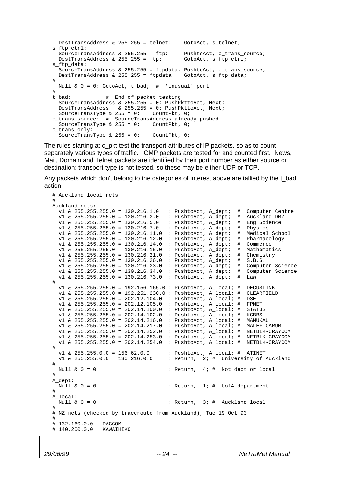```
 DestTransAddress & 255.255 = telnet: GotoAct, s_telnet;
s_ftp_ctrl:
  SourceTransAddress & 255.255 = ftp: PushtoAct, c_trans_source;<br>DestTransAddress & 255.255 = ftp: GotoAct, s_ftp_ctrl;
  DestTransAddress & 255.255 = ftp:
s ftp data:
  SourceTransAddress & 255.255 = ftpdata: PushtoAct, c_trans_source;<br>DestTransAddress & 255.255 = ftpdata: GotoAct, s_ftp_data;
  DestTransAddress & 255.255 = ftpdata:
#
  Null \& 0 = 0: GotoAct, t_bad; # 'Unusual' port
#<br>t bad:
                    # End of packet testing
  SourceTransAddress & 255.255 = 0: PushPkttoAct, Next;
   DestTransAddress & 255.255 = 0: PushPkttoAct, Next;
  SourceTransType & 255 = 0: CountPkt, 0;
c_trans_source: # SourceTransAddress already pushed<br>SourceTransType & 255 = 0: CountPkt, 0;
  SourceTransType & 255 = 0:
c_trans_only:
  SourceTransType & 255 = 0: CountPkt, 0;
```
The rules starting at c\_pkt test the transport attributes of IP packets, so as to count separately various types of traffic. ICMP packets are tested for and counted first. News, Mail, Domain and Telnet packets are identified by their port number as either source or destination; transport type is not tested, so these may be either UDP or TCP.

Any packets which don't belong to the categories of interest above are tallied by the t bad action.

```
# Auckland local nets
#
Auckland_nets:
   v1 & 255.255.255.0 = 130.216.1.0 : PushtoAct, A_dept; # Computer Centre
 v1 & 255.255.255.0 = 130.216.3.0 : PushtoAct, A_dept; # Auckland DMZ
 v1 & 255.255.255.0 = 130.216.5.0 : PushtoAct, A_dept; # Eng Science
   v1 & 255.255.255.0 = 130.216.7.0 : PushtoAct, A_dept; # Physics
 v1 & 255.255.255.0 = 130.216.11.0 : PushtoAct, A_dept; # Medical School
 v1 & 255.255.255.0 = 130.216.12.0 : PushtoAct, A_dept; # Pharmacology
 v1 & 255.255.255.0 = 130.216.14.0 : PushtoAct, A_dept; # Commerce
  v1 & 255.255.255.0 = 130.216.15.0 : PushtoAct, \overline{A}_{def} : # Mathematics v1 & 255.255.255.0 = 130.216.21.0 : PushtoAct, \overline{A}_{def} : # Chemistry
 v1 & 255.255.255.0 = 130.216.21.0 : PushtoAct, A_dept; # Chemistry
 v1 & 255.255.255.0 = 130.216.26.0 : PushtoAct, A_dept; # S.B.S.
  v1 & 255.255.255.0 = 130.216.33.0 : PushtoAct, A_dept; # Computer Science<br>v1 & 255.255.255.0 = 130.216.34.0 : PushtoAct, A_dept; # Computer Science
                                             v1 & 255.255.255.0 = 130.216.34.0 : PushtoAct, A_dept; # Computer Science
  v1 & 255.255.255.0 = 130.216.73.0#
   v1 & 255.255.255.0 = 192.156.165.0 : PushtoAct, A_local; # DECUSLINK
   v1 & 255.255.255.0 = 192.251.230.0 : PushtoAct, A_local; # CLEARFIELD
   v1 & 255.255.255.0 = 202.12.104.0 : PushtoAct, A_local; # DSE
  v1 & 255.255.255.0 = 202.12.105.0 : PushtoAct, A_local; # FPNET<br>v1 & 255.255.255.0 = 202.14.100.0 : PushtoAct, A_local; # STATUS<br>v1 & 255.255.255.0 = 202.14.102.0 : PushtoAct, A_local; # KCBBS
  v1 & 255.255.255.0 = 202.14.100.0
  v1 & 255.255.255.0 = 202.14.102.0 : PushtoAct, A local; # KCBBS
   v1 & 255.255.255.0 = 202.14.216.0 : PushtoAct, A_local; # MANUKAU
  v1 & 255.255.255.0 = 202.14.217.0 : PushtoAct, A_local; # MALEFICARUM<br>v1 & 255.255.255.0 = 202.14.252.0 : PushtoAct, A_local; # NETBLK-CRAYCOM
  v1 & 255.255.255.0 = 202.14.252.0<br>v1 & 255.255.255.0 = 202.14.253.0
                                            : PushtoAct, A_local; # NETBLK-CRAYCOM
   v1 & 255.255.255.0 = 202.14.254.0 : PushtoAct, A_local; # NETBLK-CRAYCOM
#
  v1 & 255.255.0.0 = 156.62.0.0 : PushtoAct, A_local; # ATINET<br>v1 & 255.255.0.0 = 130.216.0.0 : Return, 2; # University of
                                            : Return, 2i \# University of Auckland
#
 Null & 0 = 0 : Return, 4; # Not dept or local
#
A_dept:<br>Null & 0 = 0R_{\text{return}}, 1; # UofA department
#
A_local:
  Null & 0 = 0 : Return, 3; # Auckland local
#
# NZ nets (checked by traceroute from Auckland), Tue 19 Oct 93
#
# 132.160.0.0 PACCOM
# 140.200.0.0 KAWAIHIKO
```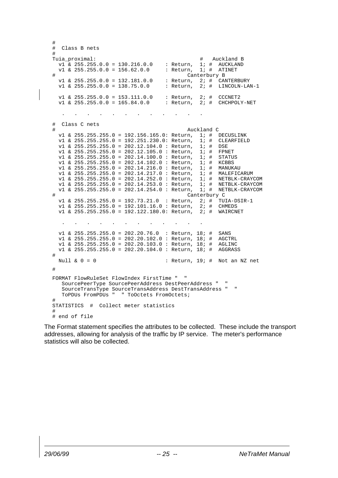```
#
# Class B nets
#
Tuia_proximal: # Auckland B<br>v1 & 255.255.0.0 = 130.216.0.0 : Return, 1; # AUCKLAND<br>v1 & 255.255.0.0 = 156.62.0.0 : Return, 1; # ATINET
   v1 & 255.255.0.0 = 130.216.0.0 : Return,<br>v1 & 255.255.0.0 = 156.62.0.0 : Return,
   v1 & 255.255.0.0 = 156.62.0.0Canterbury B
  v1 & 255.255.0.0 = 132.181.0.0 : Return, 2; # CANTERBURY<br>v1 & 255.255.0.0 = 138.75.0.0 : Return, 2; # LINCOLN-LAN-1
  v1 & 255.255.0.0 = 138.75.0.0v1 & 255.255.0.0 = 153.111.0.0 : Return, 2i \# CCCNET2<br>v1 & 255.255.0.0 = 165.84.0.0 : Return, 2i \# CHCHPOL
                                                    : Return, 2; # CHCHPOLY-NET
 . . . . . . . . . . . .
# Class C nets
                                                               Auckland C
  v1 & 255.255.255.0 = 192.156.165.0: Return, 1; # DECUSLINK<br>v1 & 255.255.255.0 = 192.251.230.0: Return, 1; # CLEARFIELD<br>v1 & 255.255.255.0 = 202.12.104.0 : Return, 1; # DSE
  v1 & 255.255.255.0 = 192.251.230.0: Return, 1; #<br>v1 & 255.255.255.0 = 202.12.104.0 : Return, 1; #<br>v1 & 255.255.255.0 = 202.12.104.0 : Return, 1; #
   v1 & 255.255.255.0 = 202.12.104.0 : Return, 1; # DSE<br>v1 & 255.255.255.0 = 202.12.105.0 : Return, 1; # FPNET
  v1 & 255.255.255.0 = 202.12.105.0 : Return, 1; # FPNET<br>v1 & 255.255.255.0 = 202.14.100.0 : Return, 1; # STATUS
   v1 & 255.255.255.0 = 202.14.100.0 : Return, 1; # v1 & 255.255.255.0 = 202.14.102.0 : Return, 1; #
   v1 & 255.255.255.0 = 202.14.102.0 : Return, 1; # KCBBSv1 & 255.255.255.0 = 202.14.216.0 : Return, 1; # MANUKAU<br>v1 & 255.255.255.0 = 202.14.217.0 : Return, 1; # MALEFIC
   v1 & 255.255.255.0 = 202.14.217.0 : Return, 1; # MALEFICARUM
 v1 & 255.255.255.0 = 202.14.252.0 : Return, 1; # NETBLK-CRAYCOM
 v1 & 255.255.255.0 = 202.14.253.0 : Return, 1; # NETBLK-CRAYCOM
   v1 & 255.255.255.0 = 202.14.254.0 : Return, 1; # NETBLK-CRAYCOM
# Canterbury C<br>v1 & 255, 255, 255, 0 = 192, 73, 21, 0 : Return, 2; # TUIA-DSIR-1
   v1 & 255.255.255.0 = 192.73.21.0 : Return, 2; # TUIA-D;<br>v1 & 255.255.255.0 = 192.101.16.0 : Return, 2; # CHMEDS
  v1 & 255.255.255.0 = 192.101.16.0 : Return, 2; #
    v1 & 255.255.255.0 = 192.122.180.0: Return, 2; # WAIRCNET
. The simulation of the simulation of the simulation of the simulation of the simulation of the simulation of the simulation of the simulation of the simulation of the simulation of the simulation of the simulation of the
   v1 & 255.255.255.0 = 202.20.76.0 : Return, 18; # SANS<br>v1 & 255.255.255.0 = 202.20.102.0 : Return, 18; # AGCTRL
 v1 & 255.255.255.0 = 202.20.102.0 : Return, 18; # AGCTRL
 v1 & 255.255.255.0 = 202.20.103.0 : Return, 18; # AGLINC
    v1 & 255.255.255.0 = 202.20.104.0 : Return, 18; # AGGRASS
#
  Null & 0 = 0 : Return, 19; # Not an NZ net
#
FORMAT FlowRuleSet FlowIndex FirstTime " "
     SourcePeerType SourcePeerAddress DestPeerAddress " "
     SourceTransType SourceTransAddress DestTransAddress " "
     ToPDUs FromPDUs " " ToOctets FromOctets;
#
STATISTICS # Collect meter statistics
#
# end of file
```
The Format statement specifies the attributes to be collected. These include the transport addresses, allowing for analysis of the traffic by IP service. The meter's performance statistics will also be collected.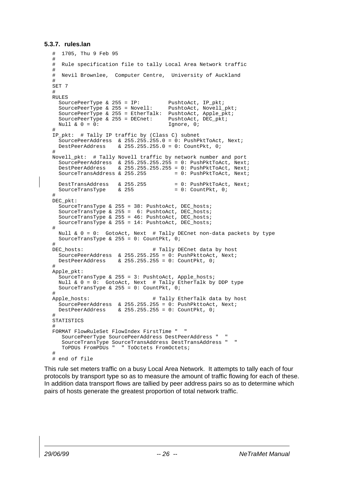#### **5.3.7. rules.lan**

```
# 1705, Thu 9 Feb 95
#
# Rule specification file to tally Local Area Network traffic
#
# Nevil Brownlee, Computer Centre, University of Auckland
#
SET 7
#
RULES
  SourcePeerType & 255 = IP: PushtoAct, IP_pkt;<br>SourcePeerType & 255 = Novell: PushtoAct, Novell_pkt;
  SourcePeerType & 255 = Novell:
   SourcePeerType & 255 = EtherTalk: PushtoAct, Apple_pkt;
  SourcePeerType & 255 = DECnet: PushtoAct, DEC_pkt;<br>Null & 0 = 0: Tenore, 0;
  Null & 0 = 0:
#
IP_pkt: # Tally IP traffic by (Class C) subnet
  SourcePeerAddress & 255.255.255.0 = 0: PushPktToAct, Next;<br>DestPeerAddress & 255.255.255.0 = 0: CountPkt, 0;
                      \& 255.255.255.0 = 0: CountPkt, 0;
#
Novell_pkt: # Tally Novell traffic by network number and port
 SourcePeerAddress & 255.255.255.255 = 0: PushPktToAct, Next;
 DestPeerAddress & 255.255.255.255 = 0: PushPktToAct, Next;
  SourceTransAddress & 255.255 = 0: PushPktToAct, Next;
  DestTransAddress & 255.255 = 0: PushPktToAct, Next;<br>SourceTransType & 255 = 0: CountPkt, 0;
 SourceTransType & 255
#
DEC_pkt:
  SourceTransType & 255 = 38: PushtoAct, DEC_hosts;
  SourceTransType & 255 = 6: PushtoAct, DEC_hosts;
  SourceTransType & 255 = 46: PushtoAct, DEC_hosts;
   SourceTransType & 255 = 14: PushtoAct, DEC_hosts;
#
  Null \& 0 = 0: GotoAct, Next # Tally DECnet non-data packets by type
 SourceTransType & 255 = 0: CountPkt, 0;
#
DEC_hosts: \qquad # Tally DECnet data by host
  SourcePeerAddress & 255.255.255 = 0: PushPkttoAct, Next;
   DestPeerAddress & 255.255.255 = 0: CountPkt, 0;
#
Apple_pkt:
  SourceTransType & 255 = 3: PushtoAct, Apple hosts;
  Null \& 0 = 0: GotoAct, Next # Tally EtherTalk by DDP type
  SourceTransType & 255 = 0: CountPkt, 0:#
Apple_hosts: # Tally EtherTalk data by host
  SourcePeerAddress & 255.255.255 = 0: PushPkttoAct, Next;
   DestPeerAddress & 255.255.255 = 0: CountPkt, 0;
#
STATISTICS
#
FORMAT FlowRuleSet FlowIndex FirstTime " "
    SourcePeerType SourcePeerAddress DestPeerAddress " "
    SourceTransType SourceTransAddress DestTransAddress " "
                      " ToOctets FromOctets;
#
# end of file
```
This rule set meters traffic on a busy Local Area Network. It attempts to tally each of four protocols by transport type so as to measure the amount of traffic flowing for each of these. In addition data transport flows are tallied by peer address pairs so as to determine which pairs of hosts generate the greatest proportion of total network traffic.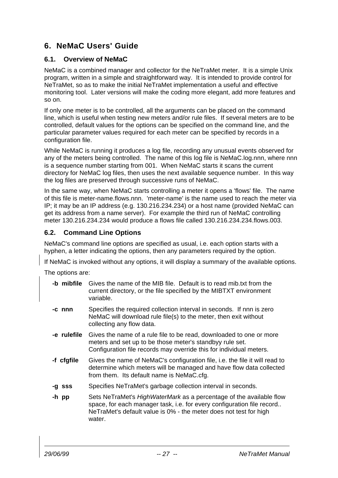## **6. NeMaC Users' Guide**

### **6.1. Overview of NeMaC**

NeMaC is a combined manager and collector for the NeTraMet meter. It is a simple Unix program, written in a simple and straightforward way. It is intended to provide control for NeTraMet, so as to make the initial NeTraMet implementation a useful and effective monitoring tool. Later versions will make the coding more elegant, add more features and so on.

If only one meter is to be controlled, all the arguments can be placed on the command line, which is useful when testing new meters and/or rule files. If several meters are to be controlled, default values for the options can be specified on the command line, and the particular parameter values required for each meter can be specified by records in a configuration file.

While NeMaC is running it produces a log file, recording any unusual events observed for any of the meters being controlled. The name of this log file is NeMaC.log.nnn, where nnn is a sequence number starting from 001. When NeMaC starts it scans the current directory for NeMaC log files, then uses the next available sequence number. In this way the log files are preserved through successive runs of NeMaC.

In the same way, when NeMaC starts controlling a meter it opens a 'flows' file. The name of this file is meter-name.flows.nnn. 'meter-name' is the name used to reach the meter via IP; it may be an IP address (e.g. 130.216.234.234) or a host name (provided NeMaC can get its address from a name server). For example the third run of NeMaC controlling meter 130.216.234.234 would produce a flows file called 130.216.234.234.flows.003.

### **6.2. Command Line Options**

NeMaC's command line options are specified as usual, i.e. each option starts with a hyphen, a letter indicating the options, then any parameters required by the option.

If NeMaC is invoked without any options, it will display a summary of the available options.

The options are:

| -b mibfile Gives the name of the MIB file. Default is to read mib.txt from the |
|--------------------------------------------------------------------------------|
| current directory, or the file specified by the MIBTXT environment             |
| variable.                                                                      |

- **-c nnn** Specifies the required collection interval in seconds. If nnn is zero NeMaC will download rule file(s) to the meter, then exit without collecting any flow data.
- **-e rulefile** Gives the name of a rule file to be read, downloaded to one or more meters and set up to be those meter's standbyy rule set. Configuration file records may override this for individual meters.
- **-f cfgfile** Gives the name of NeMaC's configuration file, i.e. the file it will read to determine which meters will be managed and have flow data collected from them. Its default name is NeMaC.cfg.
- **-g sss** Specifies NeTraMet's garbage collection interval in seconds.
- **-h pp** Sets NeTraMet's HighWaterMark as a percentage of the available flow space, for each manager task, i.e. for every configuration file record.. NeTraMet's default value is 0% - the meter does not test for high water.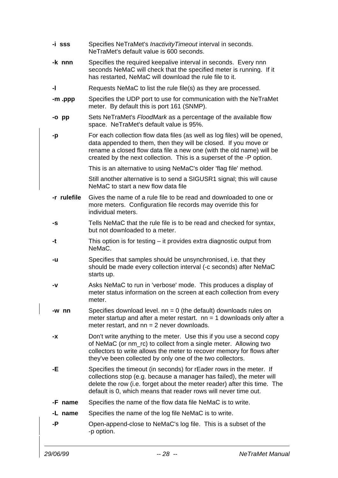| -i sss      | Specifies NeTraMet's Inactivity Timeout interval in seconds.<br>NeTraMet's default value is 600 seconds.                                                                                                                                                                                      |
|-------------|-----------------------------------------------------------------------------------------------------------------------------------------------------------------------------------------------------------------------------------------------------------------------------------------------|
| -k nnn      | Specifies the required keepalive interval in seconds. Every nnn<br>seconds NeMaC will check that the specified meter is running. If it<br>has restarted, NeMaC will download the rule file to it.                                                                                             |
| -1          | Requests NeMaC to list the rule file(s) as they are processed.                                                                                                                                                                                                                                |
| -m .ppp     | Specifies the UDP port to use for communication with the NeTraMet<br>meter. By default this is port 161 (SNMP).                                                                                                                                                                               |
| -o pp       | Sets NeTraMet's FloodMark as a percentage of the available flow<br>space. NeTraMet's default value is 95%.                                                                                                                                                                                    |
| -p          | For each collection flow data files (as well as log files) will be opened,<br>data appended to them, then they will be closed. If you move or<br>rename a closed flow data file a new one (with the old name) will be<br>created by the next collection. This is a superset of the -P option. |
|             | This is an alternative to using NeMaC's older 'flag file' method.                                                                                                                                                                                                                             |
|             | Still another alternative is to send a SIGUSR1 signal; this will cause<br>NeMaC to start a new flow data file                                                                                                                                                                                 |
| -r rulefile | Gives the name of a rule file to be read and downloaded to one or<br>more meters. Configuration file records may override this for<br>individual meters.                                                                                                                                      |
| -S          | Tells NeMaC that the rule file is to be read and checked for syntax,<br>but not downloaded to a meter.                                                                                                                                                                                        |
| -t          | This option is for testing $-$ it provides extra diagnostic output from<br>NeMaC.                                                                                                                                                                                                             |
| -u          | Specifies that samples should be unsynchronised, i.e. that they<br>should be made every collection interval (-c seconds) after NeMaC<br>starts up.                                                                                                                                            |
| -v          | Asks NeMaC to run in 'verbose' mode. This produces a display of<br>meter status information on the screen at each collection from every<br>meter.                                                                                                                                             |
| -w nn       | Specifies download level. $nn = 0$ (the default) downloads rules on<br>meter startup and after a meter restart. $nn = 1$ downloads only after a<br>meter restart, and $nn = 2$ never downloads.                                                                                               |
| -X          | Don't write anything to the meter. Use this if you use a second copy<br>of NeMaC (or nm_rc) to collect from a single meter. Allowing two<br>collectors to write allows the meter to recover memory for flows after<br>they've been collected by only one of the two collectors.               |
| -Е.         | Specifies the timeout (in seconds) for rEader rows in the meter. If<br>collections stop (e.g. because a manager has failed), the meter will<br>delete the row (i.e. forget about the meter reader) after this time. The<br>default is 0, which means that reader rows will never time out.    |
| -F name     | Specifies the name of the flow data file NeMaC is to write.                                                                                                                                                                                                                                   |
| -L name     | Specifies the name of the log file NeMaC is to write.                                                                                                                                                                                                                                         |
| -P          | Open-append-close to NeMaC's log file. This is a subset of the<br>-p option.                                                                                                                                                                                                                  |
|             |                                                                                                                                                                                                                                                                                               |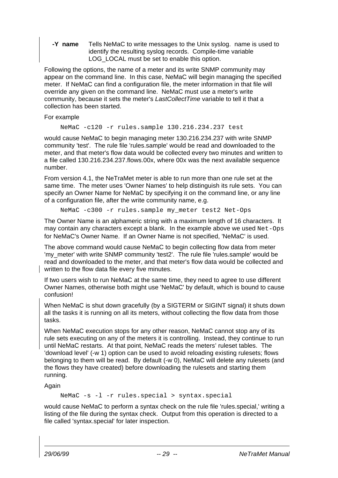**-Y name** Tells NeMaC to write messages to the Unix syslog. name is used to identify the resulting syslog records. Compile-time variable LOG\_LOCAL must be set to enable this option.

Following the options, the name of a meter and its write SNMP community may appear on the command line. In this case, NeMaC will begin managing the specified meter. If NeMaC can find a configuration file, the meter information in that file will override any given on the command line. NeMaC must use a meter's write community, because it sets the meter's LastCollectTime variable to tell it that a collection has been started.

For example

NeMaC -c120 -r rules.sample 130.216.234.237 test

would cause NeMaC to begin managing meter 130.216.234.237 with write SNMP community 'test'. The rule file 'rules.sample' would be read and downloaded to the meter, and that meter's flow data would be collected every two minutes and written to a file called 130.216.234.237.flows.00x, where 00x was the next available sequence number.

From version 4.1, the NeTraMet meter is able to run more than one rule set at the same time. The meter uses 'Owner Names' to help distinguish its rule sets. You can specify an Owner Name for NeMaC by specifying it on the command line, or any line of a configuration file, after the write community name, e.g.

NeMaC -c300 -r rules.sample my\_meter test2 Net-Ops

The Owner Name is an alphameric string with a maximum length of 16 characters. It may contain any characters except a blank. In the example above we used Net-Ops for NeMaC's Owner Name. If an Owner Name is not specified, 'NeMaC' is used.

The above command would cause NeMaC to begin collecting flow data from meter 'my\_meter' with write SNMP community 'test2'. The rule file 'rules.sample' would be read and downloaded to the meter, and that meter's flow data would be collected and written to the flow data file every five minutes.

If two users wish to run NeMaC at the same time, they need to agree to use different Owner Names, otherwise both might use 'NeMaC' by default, which is bound to cause confusion!

When NeMaC is shut down gracefully (by a SIGTERM or SIGINT signal) it shuts down all the tasks it is running on all its meters, without collecting the flow data from those tasks.

When NeMaC execution stops for any other reason, NeMaC cannot stop any of its rule sets executing on any of the meters it is controlling. Instead, they continue to run until NeMaC restarts. At that point, NeMaC reads the meters' ruleset tables. The 'download level' (-w 1) option can be used to avoid reloading existing rulesets; flows belonging to them will be read. By default (-w 0), NeMaC will delete any rulesets (and the flows they have created) before downloading the rulesets and starting them running.

Again

NeMaC -s -l -r rules.special > syntax.special

would cause NeMaC to perform a syntax check on the rule file 'rules.special,' writing a listing of the file during the syntax check. Output from this operation is directed to a file called 'syntax.special' for later inspection.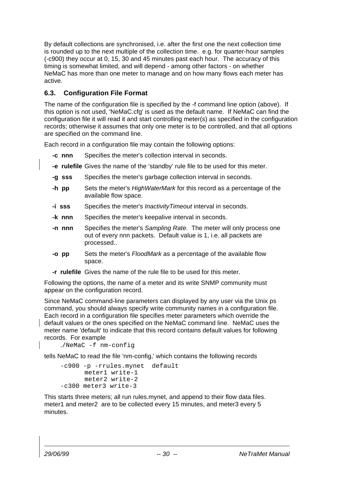By default collections are synchronised, i.e. after the first one the next collection time is rounded up to the next multiple of the collection time. e.g. for quarter-hour samples (-c900) they occur at 0, 15, 30 and 45 minutes past each hour. The accuracy of this timing is somewhat limited, and will depend - among other factors - on whether NeMaC has more than one meter to manage and on how many flows each meter has active.

## **6.3. Configuration File Format**

The name of the configuration file is specified by the -f command line option (above). If this option is not used, 'NeMaC.cfg' is used as the default name. If NeMaC can find the configuration file it will read it and start controlling meter(s) as specified in the configuration records; otherwise it assumes that only one meter is to be controlled, and that all options are specified on the command line.

Each record in a configuration file may contain the following options:

- **-c nnn** Specifies the meter's collection interval in seconds.
- **-e rulefile** Gives the name of the 'standby' rule file to be used for this meter.
- **-g sss** Specifies the meter's garbage collection interval in seconds.
- **-h pp** Sets the meter's HighWaterMark for this record as a percentage of the available flow space.
- **-i sss** Specifies the meter's InactivityTimeout interval in seconds.
- **-k nnn** Specifies the meter's keepalive interval in seconds.
- **-n nnn** Specifies the meter's Sampling Rate. The meter will only process one out of every nnn packets. Default value is 1, i.e. all packets are processed..
- **-o pp** Sets the meter's FloodMark as a percentage of the available flow space.
- **-r rulefile** Gives the name of the rule file to be used for this meter.

Following the options, the name of a meter and its write SNMP community must appear on the configuration record.

Since NeMaC command-line parameters can displayed by any user via the Unix ps command, you should always specify write community names in a configuration file. Each record in a configuration file specifies meter parameters which override the default values or the ones specified on the NeMaC command line. NeMaC uses the meter name 'default' to indicate that this record contains default values for following records. For example

./NeMaC -f nm-config

tells NeMaC to read the file 'nm-config,' which contains the following records

```
-c900 -p -rrules.mynet default
      meter1 write-1
      meter2 write-2
-c300 meter3 write-3
```
This starts three meters; all run rules.mynet, and append to their flow data files. meter1 and meter2 are to be collected every 15 minutes, and meter3 every 5 minutes.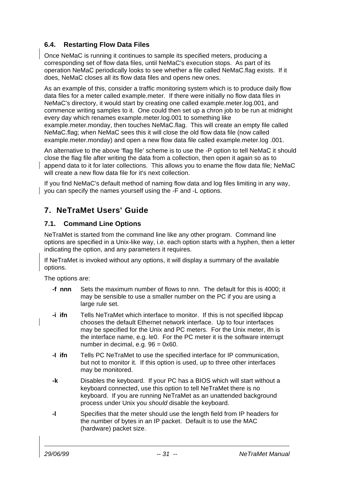## **6.4. Restarting Flow Data Files**

Once NeMaC is running it continues to sample its specified meters, producing a corresponding set of flow data files, until NeMaC's execution stops. As part of its operation NeMaC periodically looks to see whether a file called NeMaC.flag exists. If it does, NeMaC closes all its flow data files and opens new ones.

As an example of this, consider a traffic monitoring system which is to produce daily flow data files for a meter called example.meter. If there were initially no flow data files in NeMaC's directory, it would start by creating one called example.meter.log.001, and commence writing samples to it. One could then set up a chron job to be run at midnight every day which renames example.meter.log.001 to something like example.meter.monday, then touches NeMaC.flag. This will create an empty file called NeMaC.flag; when NeMaC sees this it will close the old flow data file (now called example.meter.monday) and open a new flow data file called example.meter.log .001.

An alternative to the above 'flag file' scheme is to use the -P option to tell NeMaC it should close the flag file after writing the data from a collection, then open it again so as to append data to it for later collections. This allows you to ename the flow data file; NeMaC will create a new flow data file for it's next collection.

If you find NeMaC's default method of naming flow data and log files limiting in any way, you can specify the names yourself using the -F and -L options.

## **7. NeTraMet Users' Guide**

## **7.1. Command Line Options**

NeTraMet is started from the command line like any other program. Command line options are specified in a Unix-like way, i.e. each option starts with a hyphen, then a letter indicating the option, and any parameters it requires.

If NeTraMet is invoked without any options, it will display a summary of the available options.

The options are:

- **-f nnn** Sets the maximum number of flows to nnn. The default for this is 4000; it may be sensible to use a smaller number on the PC if you are using a large rule set.
- **-i ifn** Tells NeTraMet which interface to monitor. If this is not specified libpcap chooses the default Ethernet network interface. Up to four interfaces may be specified for the Unix and PC meters. For the Unix meter, ifn is the interface name, e.g. le0. For the PC meter it is the software interrupt number in decimal, e.g. 96 = 0x60.
- **-I ifn** Tells PC NeTraMet to use the specified interface for IP communication, but not to monitor it. If this option is used, up to three other interfaces may be monitored.
- **-k** Disables the keyboard. If your PC has a BIOS which will start without a keyboard connected, use this option to tell NeTraMet there is no keyboard. If you are running NeTraMet as an unattended background process under Unix you should disable the keyboard.
- **-l** Specifies that the meter should use the length field from IP headers for the number of bytes in an IP packet. Default is to use the MAC (hardware) packet size.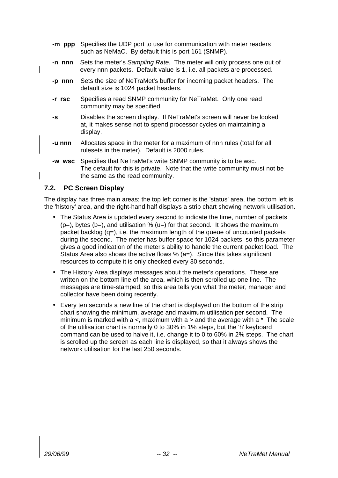- **-m ppp** Specifies the UDP port to use for communication with meter readers such as NeMaC. By default this is port 161 (SNMP).
- **-n nnn** Sets the meter's Sampling Rate. The meter will only process one out of every nnn packets. Default value is 1, i.e. all packets are processed.
- **-p nnn** Sets the size of NeTraMet's buffer for incoming packet headers. The default size is 1024 packet headers.
- **-r rsc** Specifies a read SNMP community for NeTraMet. Only one read community may be specified.
- **-s** Disables the screen display. If NeTraMet's screen will never be looked at, it makes sense not to spend processor cycles on maintaining a display.
- **-u nnn** Allocates space in the meter for a maximum of nnn rules (total for all rulesets in the meter). Default is 2000 rules.
- **-w wsc** Specifies that NeTraMet's write SNMP community is to be wsc. The default for this is private. Note that the write community must not be the same as the read community.

### **7.2. PC Screen Display**

The display has three main areas; the top left corner is the 'status' area, the bottom left is the 'history' area, and the right-hand half displays a strip chart showing network utilisation.

- The Status Area is updated every second to indicate the time, number of packets  $(p=)$ , bytes  $(b=)$ , and utilisation %  $(u=)$  for that second. It shows the maximum packet backlog (q=), i.e. the maximum length of the queue of uncounted packets during the second. The meter has buffer space for 1024 packets, so this parameter gives a good indication of the meter's ability to handle the current packet load. The Status Area also shows the active flows % (a=). Since this takes significant resources to compute it is only checked every 30 seconds.
- The History Area displays messages about the meter's operations. These are written on the bottom line of the area, which is then scrolled up one line. The messages are time-stamped, so this area tells you what the meter, manager and collector have been doing recently.
- Every ten seconds a new line of the chart is displayed on the bottom of the strip chart showing the minimum, average and maximum utilisation per second. The minimum is marked with  $a <$ , maximum with  $a >$  and the average with  $a *$ . The scale of the utilisation chart is normally 0 to 30% in 1% steps, but the 'h' keyboard command can be used to halve it, i.e. change it to 0 to 60% in 2% steps. The chart is scrolled up the screen as each line is displayed, so that it always shows the network utilisation for the last 250 seconds.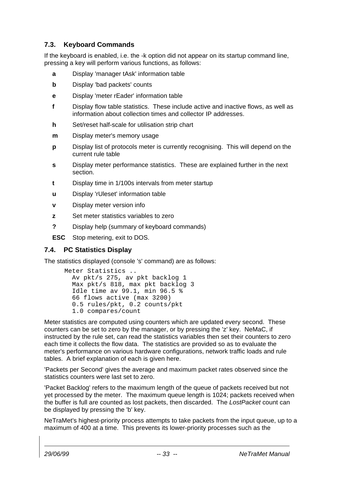## **7.3. Keyboard Commands**

If the keyboard is enabled, i.e. the -k option did not appear on its startup command line, pressing a key will perform various functions, as follows:

- **a** Display 'manager tAsk' information table
- **b** Display 'bad packets' counts
- **e** Display 'meter rEader' information table
- **f** Display flow table statistics. These include active and inactive flows, as well as information about collection times and collector IP addresses.
- **h** Set/reset half-scale for utilisation strip chart
- **m** Display meter's memory usage
- **p** Display list of protocols meter is currently recognising. This will depend on the current rule table
- **s** Display meter performance statistics. These are explained further in the next section.
- **t** Display time in 1/100s intervals from meter startup
- **u** Display 'rUleset' information table
- **v** Display meter version info
- **z** Set meter statistics variables to zero
- **?** Display help (summary of keyboard commands)
- **ESC** Stop metering, exit to DOS.

## **7.4. PC Statistics Display**

The statistics displayed (console 's' command) are as follows:

```
Meter Statistics ..
   Av pkt/s 275, av pkt backlog 1
   Max pkt/s 818, max pkt backlog 3
   Idle time av 99.1, min 96.5 %
   66 flows active (max 3200)
   0.5 rules/pkt, 0.2 counts/pkt
   1.0 compares/count
```
Meter statistics are computed using counters which are updated every second. These counters can be set to zero by the manager, or by pressing the 'z' key. NeMaC, if instructed by the rule set, can read the statistics variables then set their counters to zero each time it collects the flow data. The statistics are provided so as to evaluate the meter's performance on various hardware configurations, network traffic loads and rule tables. A brief explanation of each is given here.

'Packets per Second' gives the average and maximum packet rates observed since the statistics counters were last set to zero.

'Packet Backlog' refers to the maximum length of the queue of packets received but not yet processed by the meter. The maximum queue length is 1024; packets received when the buffer is full are counted as lost packets, then discarded. The LostPacket count can be displayed by pressing the 'b' key.

NeTraMet's highest-priority process attempts to take packets from the input queue, up to a maximum of 400 at a time. This prevents its lower-priority processes such as the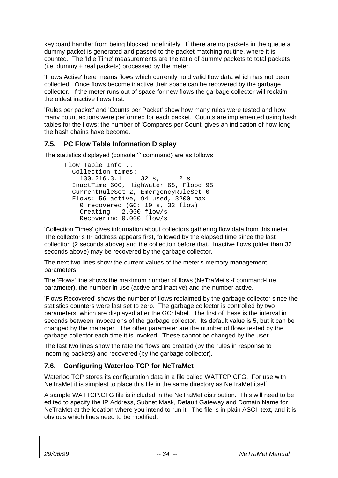keyboard handler from being blocked indefinitely. If there are no packets in the queue a dummy packet is generated and passed to the packet matching routine, where it is counted. The 'Idle Time' measurements are the ratio of dummy packets to total packets (i.e. dummy + real packets) processed by the meter.

'Flows Active' here means flows which currently hold valid flow data which has not been collected. Once flows become inactive their space can be recovered by the garbage collector. If the meter runs out of space for new flows the garbage collector will reclaim the oldest inactive flows first.

'Rules per packet' and 'Counts per Packet' show how many rules were tested and how many count actions were performed for each packet. Counts are implemented using hash tables for the flows; the number of 'Compares per Count' gives an indication of how long the hash chains have become.

## **7.5. PC Flow Table Information Display**

The statistics displayed (console 'f' command) are as follows:

```
Flow Table Info ..
  Collection times:
 130.216.3.1 32 s, 2 s
 InactTime 600, HighWater 65, Flood 95
  CurrentRuleSet 2, EmergencyRuleSet 0
  Flows: 56 active, 94 used, 3200 max
    0 recovered (GC: 10 s, 32 flow)
    Creating 2.000 flow/s
    Recovering 0.000 flow/s
```
'Collection Times' gives information about collectors gathering flow data from this meter. The collector's IP address appears first, followed by the elapsed time since the last collection (2 seconds above) and the collection before that. Inactive flows (older than 32 seconds above) may be recovered by the garbage collector.

The next two lines show the current values of the meter's memory management parameters.

The 'Flows' line shows the maximum number of flows (NeTraMet's -f command-line parameter), the number in use (active and inactive) and the number active.

'Flows Recovered' shows the number of flows reclaimed by the garbage collector since the statistics counters were last set to zero. The garbage collector is controlled by two parameters, which are displayed after the GC: label. The first of these is the interval in seconds between invocations of the garbage collector. Its default value is 5, but it can be changed by the manager. The other parameter are the number of flows tested by the garbage collector each time it is invoked. These cannot be changed by the user.

The last two lines show the rate the flows are created (by the rules in response to incoming packets) and recovered (by the garbage collector).

## **7.6. Configuring Waterloo TCP for NeTraMet**

Waterloo TCP stores its configuration data in a file called WATTCP.CFG. For use with NeTraMet it is simplest to place this file in the same directory as NeTraMet itself

A sample WATTCP.CFG file is included in the NeTraMet distribution. This will need to be edited to specify the IP Address, Subnet Mask, Default Gateway and Domain Name for NeTraMet at the location where you intend to run it. The file is in plain ASCII text, and it is obvious which lines need to be modified.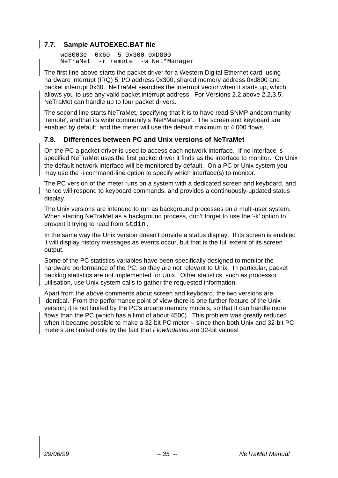## **7.7. Sample AUTOEXEC.BAT file**

```
wd8003e 0x60 5 0x300 0xD800
NeTraMet -r remote -w Net*Manager
```
The first line above starts the packet driver for a Western Digital Ethernet card, using hardware interrupt (IRQ) 5, I/O address 0x300, shared memory address 0xd800 and packet interrupt 0x60. NeTraMet searches the interrupt vector when it starts up, which allows you to use any valid packet interrupt address. For Versions 2.2,above 2.2,3.5, NeTraMet can handle up to four packet drivers.

The second line starts NeTraMet, specifying that it is to have read SNMP andcommunity 'remote', andthat its write communityis 'Net\*Manager'. The screen and keyboard are enabled by default, and the meter will use the default maximum of 4,000 flows.

### **7.8. Differences between PC and Unix versions of NeTraMet**

On the PC a packet driver is used to access each network interface. If no interface is specified NeTraMet uses the first packet driver it finds as the interface to monitor. On Unix the default network interface will be monitored by default. On a PC or Unix system you may use the -i command-line option to specify which interface(s) to monitor.

The PC version of the meter runs on a system with a dedicated screen and keyboard, and hence will respond to keyboard commands, and provides a continuously-updated status display.

The Unix versions are intended to run as background processes on a multi-user system. When starting NeTraMet as a background process, don't forget to use the '-k' option to prevent it trying to read from stdin.

In the same way the Unix version doesn't provide a status display. If its screen is enabled it will display history messages as events occur, but that is the full extent of its screen output.

Some of the PC statistics variables have been specifically designed to monitor the hardware performance of the PC, so they are not relevant to Unix. In particular, packet backlog statistics are not implemented for Unix. Other statistics, such as processor utilisation, use Unix system calls to gather the requested information.

Apart from the above comments about screen and keyboard, the two versions are identical. From the performance point of view there is one further feature of the Unix version; it is not limited by the PC's arcane memory models, so that it can handle more flows than the PC (which has a limit of about 4500). This problem was greatly reduced when it became possible to make a 32-bit PC meter – since then both Unix and 32-bit PC meters are limited only by the fact that FlowIndexes are 32-bit values!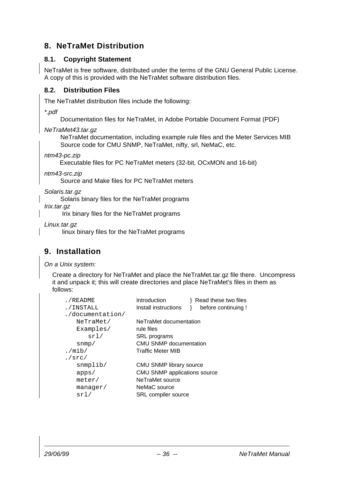## **8. NeTraMet Distribution**

## **8.1. Copyright Statement**

NeTraMet is free software, distributed under the terms of the GNU General Public License. A copy of this is provided with the NeTraMet software distribution files.

### **8.2. Distribution Files**

The NeTraMet distribution files include the following:

\*.pdf

Documentation files for NeTraMet, in Adobe Portable Document Format (PDF)

NeTraMet43.tar.gz

NeTraMet documentation, including example rule files and the Meter Services MIB Source code for CMU SNMP, NeTraMet, nifty, srl, NeMaC, etc.

ntm43-pc.zip

Executable files for PC NeTraMet meters (32-bit, OCxMON and 16-bit)

ntm43-src.zip

Source and Make files for PC NeTraMet meters

Solaris.tar.gz

Solaris binary files for the NeTraMet programs

Irix.tar.gz

Irix binary files for the NeTraMet programs

Linux.tar.gz

linux binary files for the NeTraMet programs

## **9. Installation**

On a Unix system:

Create a directory for NeTraMet and place the NeTraMet.tar.gz file there. Uncompress it and unpack it; this will create directories and place NeTraMet's files in them as follows:

| ./README         | Introduction                   | Read these two files |
|------------------|--------------------------------|----------------------|
| ./INSTALL        | Install instructions           | before continuing!   |
| ./documentation/ |                                |                      |
| NeTraMet/        | NeTraMet documentation         |                      |
| Examples/        | rule files                     |                      |
| srl/             | <b>SRL</b> programs            |                      |
| snmp/            | <b>CMU SNMP documentation</b>  |                      |
| ./ $min/$        | <b>Traffic Meter MIB</b>       |                      |
| ./src/           |                                |                      |
| $s$ nmplib/      | <b>CMU SNMP library source</b> |                      |
| apps/            | CMU SNMP applications source   |                      |
| meter/           | NeTraMet source                |                      |
| manager/         | NeMaC source                   |                      |
| srl/             | SRL compiler source            |                      |
|                  |                                |                      |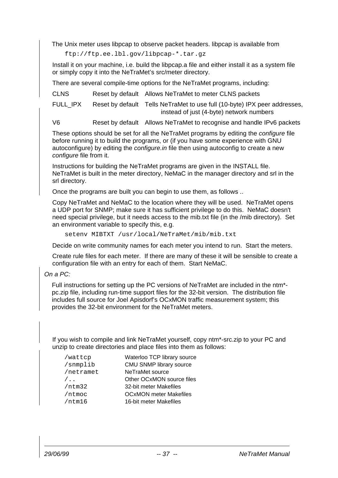The Unix meter uses libpcap to observe packet headers. libpcap is available from

ftp://ftp.ee.lbl.gov/libpcap-\*.tar.gz

Install it on your machine, i.e. build the libpcap.a file and either install it as a system file or simply copy it into the NeTraMet's src/meter directory.

There are several compile-time options for the NeTraMet programs, including:

CLNS Reset by default Allows NeTraMet to meter CLNS packets

FULL IPX Reset by default Tells NeTraMet to use full (10-byte) IPX peer addresses, instead of just (4-byte) network numbers

V6 Reset by default Allows NeTraMet to recognise and handle IPv6 packets

These options should be set for all the NeTraMet programs by editing the configure file before running it to build the programs, or (if you have some experience with GNU autoconfigure) by editing the configure.in file then using autoconfig to create a new configure file from it.

Instructions for building the NeTraMet programs are given in the INSTALL file. NeTraMet is built in the meter directory, NeMaC in the manager directory and srl in the srl directory.

Once the programs are built you can begin to use them, as follows ..

Copy NeTraMet and NeMaC to the location where they will be used. NeTraMet opens a UDP port for SNMP; make sure it has sufficient privilege to do this. NeMaC doesn't need special privilege, but it needs access to the mib.txt file (in the /mib directory). Set an environment variable to specify this, e.g.

setenv MIBTXT /usr/local/NeTraMet/mib/mib.txt

Decide on write community names for each meter you intend to run. Start the meters.

Create rule files for each meter. If there are many of these it will be sensible to create a configuration file with an entry for each of them. Start NeMaC.

On a PC:

Full instructions for setting up the PC versions of NeTraMet are included in the ntm\* pc.zip file, including run-time support files for the 32-bit version. The distribution file includes full source for Joel Apisdorf's OCxMON traffic measurement system; this provides the 32-bit environment for the NeTraMet meters.

If you wish to compile and link NeTraMet yourself, copy ntm\*-src.zip to your PC and unzip to create directories and place files into them as follows:

| /wattcp     | Waterloo TCP library source   |
|-------------|-------------------------------|
| /snmplib    | CMU SNMP library source       |
| /netramet   | NeTraMet source               |
| $/ \cdot$ . | Other OCxMON source files     |
| /ntm32      | 32-bit meter Makefiles        |
| /ntmoc      | <b>OCxMON</b> meter Makefiles |
| /ntm16      | 16-bit meter Makefiles        |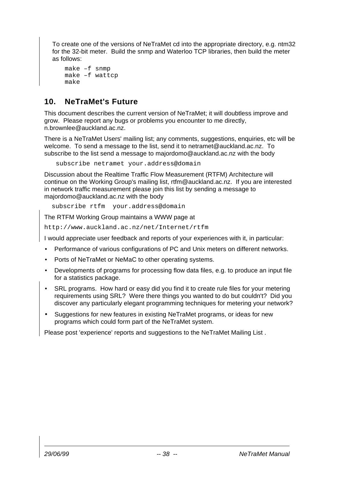To create one of the versions of NeTraMet cd into the appropriate directory, e.g. ntm32 for the 32-bit meter. Build the snmp and Waterloo TCP libraries, then build the meter as follows:

```
make –f snmp
make –f wattcp
make
```
## **10. NeTraMet's Future**

This document describes the current version of NeTraMet; it will doubtless improve and grow. Please report any bugs or problems you encounter to me directly, n.brownlee@auckland.ac.nz.

There is a NeTraMet Users' mailing list; any comments, suggestions, enquiries, etc will be welcome. To send a message to the list, send it to netramet@auckland.ac.nz. To subscribe to the list send a message to majordomo@auckland.ac.nz with the body

subscribe netramet your.address@domain

Discussion about the Realtime Traffic Flow Measurement (RTFM) Architecture will continue on the Working Group's mailing list, rtfm@auckland.ac.nz. If you are interested in network traffic measurement please join this list by sending a message to majordomo@auckland.ac.nz with the body

subscribe rtfm your.address@domain

The RTFM Working Group maintains a WWW page at

http://www.auckland.ac.nz/net/Internet/rtfm

I would appreciate user feedback and reports of your experiences with it, in particular:

- Performance of various configurations of PC and Unix meters on different networks.
- Ports of NeTraMet or NeMaC to other operating systems.
- Developments of programs for processing flow data files, e.g. to produce an input file for a statistics package.
- SRL programs. How hard or easy did you find it to create rule files for your metering requirements using SRL? Were there things you wanted to do but couldn't? Did you discover any particularly elegant programming techniques for metering your network?
- Suggestions for new features in existing NeTraMet programs, or ideas for new programs which could form part of the NeTraMet system.

Please post 'experience' reports and suggestions to the NeTraMet Mailing List .